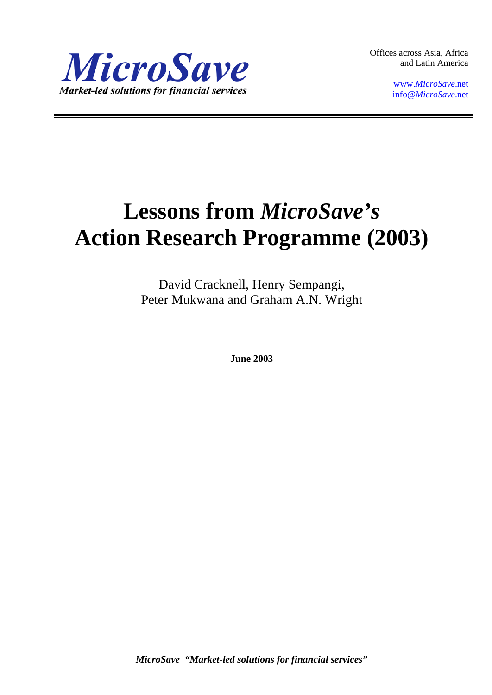

Offices across Asia, Africa and Latin America

> www.*[MicroSave](http://www.microsave.net/)*.net info@*[MicroSave](mailto:info@MicroSave.net)*.net

# **Lessons from** *MicroSave's* **Action Research Programme (2003)**

David Cracknell, Henry Sempangi, Peter Mukwana and Graham A.N. Wright

**June 2003**

*MicroSave "Market-led solutions for financial services"*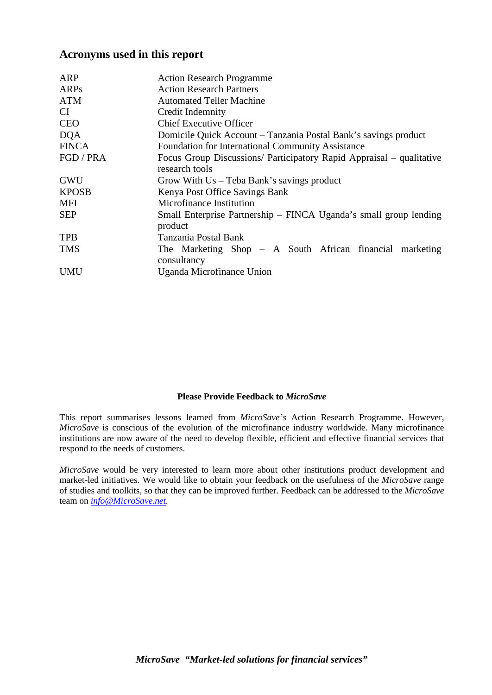## **Acronyms used in this report**

| <b>ARP</b>   | <b>Action Research Programme</b>                                                       |  |  |  |  |
|--------------|----------------------------------------------------------------------------------------|--|--|--|--|
| ARPs         | <b>Action Research Partners</b>                                                        |  |  |  |  |
| <b>ATM</b>   | <b>Automated Teller Machine</b>                                                        |  |  |  |  |
| CI.          | Credit Indemnity                                                                       |  |  |  |  |
| <b>CEO</b>   | <b>Chief Executive Officer</b>                                                         |  |  |  |  |
| <b>DQA</b>   | Domicile Quick Account - Tanzania Postal Bank's savings product                        |  |  |  |  |
| <b>FINCA</b> | Foundation for International Community Assistance                                      |  |  |  |  |
| FGD / PRA    | Focus Group Discussions/ Participatory Rapid Appraisal – qualitative<br>research tools |  |  |  |  |
| <b>GWU</b>   | Grow With $Us$ – Teba Bank's savings product                                           |  |  |  |  |
| <b>KPOSB</b> | Kenya Post Office Savings Bank                                                         |  |  |  |  |
| <b>MFI</b>   | Microfinance Institution                                                               |  |  |  |  |
| <b>SEP</b>   | Small Enterprise Partnership – FINCA Uganda's small group lending<br>product           |  |  |  |  |
| <b>TPB</b>   | Tanzania Postal Bank                                                                   |  |  |  |  |
| <b>TMS</b>   | The Marketing Shop - A South African financial marketing<br>consultancy                |  |  |  |  |
| <b>UMU</b>   | Uganda Microfinance Union                                                              |  |  |  |  |

#### **Please Provide Feedback to** *MicroSave*

This report summarises lessons learned from *MicroSave's* Action Research Programme. However, *MicroSave* is conscious of the evolution of the microfinance industry worldwide. Many microfinance institutions are now aware of the need to develop flexible, efficient and effective financial services that respond to the needs of customers.

*MicroSave* would be very interested to learn more about other institutions product development and market-led initiatives. We would like to obtain your feedback on the usefulness of the *MicroSave* range of studies and toolkits, so that they can be improved further. Feedback can be addressed to the *MicroSave*  team on *[info@MicroSave.net.](mailto:info@MicroSave.net)*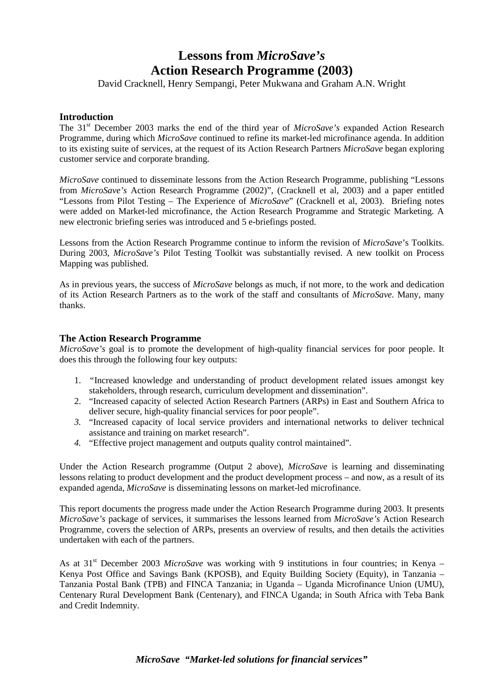## **Lessons from** *MicroSave's* **Action Research Programme (2003)**

David Cracknell, Henry Sempangi, Peter Mukwana and Graham A.N. Wright

## **Introduction**

The 31st December 2003 marks the end of the third year of *MicroSave's* expanded Action Research Programme, during which *MicroSave* continued to refine its market-led microfinance agenda. In addition to its existing suite of services, at the request of its Action Research Partners *MicroSave* began exploring customer service and corporate branding.

*MicroSave* continued to disseminate lessons from the Action Research Programme, publishing "Lessons from *MicroSave's* Action Research Programme (2002)", (Cracknell et al, 2003) and a paper entitled "Lessons from Pilot Testing – The Experience of *MicroSave*" (Cracknell et al, 2003). Briefing notes were added on Market-led microfinance, the Action Research Programme and Strategic Marketing. A new electronic briefing series was introduced and 5 e-briefings posted.

Lessons from the Action Research Programme continue to inform the revision of *MicroSave*'s Toolkits. During 2003, *MicroSave's* Pilot Testing Toolkit was substantially revised. A new toolkit on Process Mapping was published.

As in previous years, the success of *MicroSave* belongs as much, if not more, to the work and dedication of its Action Research Partners as to the work of the staff and consultants of *MicroSave.* Many, many thanks.

#### **The Action Research Programme**

*MicroSave's* goal is to promote the development of high-quality financial services for poor people. It does this through the following four key outputs:

- 1. *"*Increased knowledge and understanding of product development related issues amongst key stakeholders, through research, curriculum development and dissemination".
- 2. "Increased capacity of selected Action Research Partners (ARPs) in East and Southern Africa to deliver secure, high-quality financial services for poor people".
- *3.* "Increased capacity of local service providers and international networks to deliver technical assistance and training on market research".
- *4.* "Effective project management and outputs quality control maintained".

Under the Action Research programme (Output 2 above), *MicroSave* is learning and disseminating lessons relating to product development and the product development process – and now, as a result of its expanded agenda, *MicroSave* is disseminating lessons on market-led microfinance.

This report documents the progress made under the Action Research Programme during 2003. It presents *MicroSave's* package of services, it summarises the lessons learned from *MicroSave's* Action Research Programme, covers the selection of ARPs, presents an overview of results, and then details the activities undertaken with each of the partners.

As at 31<sup>st</sup> December 2003 *MicroSave* was working with 9 institutions in four countries; in Kenya – Kenya Post Office and Savings Bank (KPOSB), and Equity Building Society (Equity), in Tanzania – Tanzania Postal Bank (TPB) and FINCA Tanzania; in Uganda – Uganda Microfinance Union (UMU), Centenary Rural Development Bank (Centenary), and FINCA Uganda; in South Africa with Teba Bank and Credit Indemnity.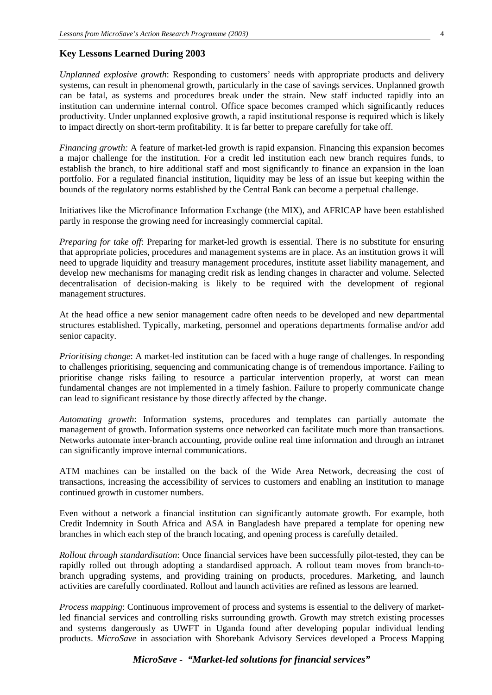#### **Key Lessons Learned During 2003**

*Unplanned explosive growth*: Responding to customers' needs with appropriate products and delivery systems, can result in phenomenal growth, particularly in the case of savings services. Unplanned growth can be fatal, as systems and procedures break under the strain. New staff inducted rapidly into an institution can undermine internal control. Office space becomes cramped which significantly reduces productivity. Under unplanned explosive growth, a rapid institutional response is required which is likely to impact directly on short-term profitability. It is far better to prepare carefully for take off.

*Financing growth:* A feature of market-led growth is rapid expansion. Financing this expansion becomes a major challenge for the institution. For a credit led institution each new branch requires funds, to establish the branch, to hire additional staff and most significantly to finance an expansion in the loan portfolio. For a regulated financial institution, liquidity may be less of an issue but keeping within the bounds of the regulatory norms established by the Central Bank can become a perpetual challenge.

Initiatives like the Microfinance Information Exchange (the MIX), and AFRICAP have been established partly in response the growing need for increasingly commercial capital.

*Preparing for take off*: Preparing for market-led growth is essential. There is no substitute for ensuring that appropriate policies, procedures and management systems are in place. As an institution grows it will need to upgrade liquidity and treasury management procedures, institute asset liability management, and develop new mechanisms for managing credit risk as lending changes in character and volume. Selected decentralisation of decision-making is likely to be required with the development of regional management structures.

At the head office a new senior management cadre often needs to be developed and new departmental structures established. Typically, marketing, personnel and operations departments formalise and/or add senior capacity.

*Prioritising change*: A market-led institution can be faced with a huge range of challenges. In responding to challenges prioritising, sequencing and communicating change is of tremendous importance. Failing to prioritise change risks failing to resource a particular intervention properly, at worst can mean fundamental changes are not implemented in a timely fashion. Failure to properly communicate change can lead to significant resistance by those directly affected by the change.

*Automating growth*: Information systems, procedures and templates can partially automate the management of growth. Information systems once networked can facilitate much more than transactions. Networks automate inter-branch accounting, provide online real time information and through an intranet can significantly improve internal communications.

ATM machines can be installed on the back of the Wide Area Network, decreasing the cost of transactions, increasing the accessibility of services to customers and enabling an institution to manage continued growth in customer numbers.

Even without a network a financial institution can significantly automate growth. For example, both Credit Indemnity in South Africa and ASA in Bangladesh have prepared a template for opening new branches in which each step of the branch locating, and opening process is carefully detailed.

*Rollout through standardisation*: Once financial services have been successfully pilot-tested, they can be rapidly rolled out through adopting a standardised approach. A rollout team moves from branch-tobranch upgrading systems, and providing training on products, procedures. Marketing, and launch activities are carefully coordinated. Rollout and launch activities are refined as lessons are learned.

*Process mapping*: Continuous improvement of process and systems is essential to the delivery of marketled financial services and controlling risks surrounding growth. Growth may stretch existing processes and systems dangerously as UWFT in Uganda found after developing popular individual lending products. *MicroSave* in association with Shorebank Advisory Services developed a Process Mapping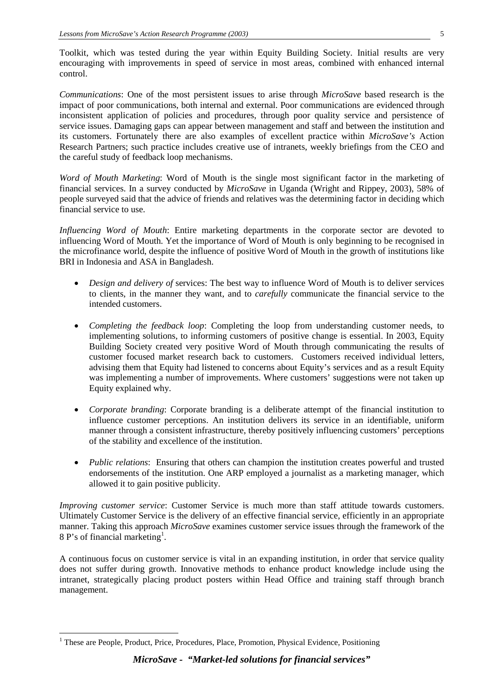Toolkit, which was tested during the year within Equity Building Society. Initial results are very encouraging with improvements in speed of service in most areas, combined with enhanced internal control.

*Communications*: One of the most persistent issues to arise through *MicroSave* based research is the impact of poor communications, both internal and external. Poor communications are evidenced through inconsistent application of policies and procedures, through poor quality service and persistence of service issues. Damaging gaps can appear between management and staff and between the institution and its customers. Fortunately there are also examples of excellent practice within *MicroSave's* Action Research Partners; such practice includes creative use of intranets, weekly briefings from the CEO and the careful study of feedback loop mechanisms.

*Word of Mouth Marketing*: Word of Mouth is the single most significant factor in the marketing of financial services. In a survey conducted by *MicroSave* in Uganda (Wright and Rippey, 2003), 58% of people surveyed said that the advice of friends and relatives was the determining factor in deciding which financial service to use.

*Influencing Word of Mouth*: Entire marketing departments in the corporate sector are devoted to influencing Word of Mouth. Yet the importance of Word of Mouth is only beginning to be recognised in the microfinance world, despite the influence of positive Word of Mouth in the growth of institutions like BRI in Indonesia and ASA in Bangladesh.

- *Design and delivery of services:* The best way to influence Word of Mouth is to deliver services to clients, in the manner they want, and to *carefully* communicate the financial service to the intended customers.
- *Completing the feedback loop*: Completing the loop from understanding customer needs, to implementing solutions, to informing customers of positive change is essential. In 2003, Equity Building Society created very positive Word of Mouth through communicating the results of customer focused market research back to customers. Customers received individual letters, advising them that Equity had listened to concerns about Equity's services and as a result Equity was implementing a number of improvements. Where customers' suggestions were not taken up Equity explained why.
- *Corporate branding*: Corporate branding is a deliberate attempt of the financial institution to influence customer perceptions. An institution delivers its service in an identifiable, uniform manner through a consistent infrastructure, thereby positively influencing customers' perceptions of the stability and excellence of the institution.
- *Public relations*: Ensuring that others can champion the institution creates powerful and trusted endorsements of the institution. One ARP employed a journalist as a marketing manager, which allowed it to gain positive publicity.

*Improving customer service*: Customer Service is much more than staff attitude towards customers. Ultimately Customer Service is the delivery of an effective financial service, efficiently in an appropriate manner. Taking this approach *MicroSave* examines customer service issues through the framework of the 8 P's of financial marketing<sup>[1](#page-4-0)</sup>.

A continuous focus on customer service is vital in an expanding institution, in order that service quality does not suffer during growth. Innovative methods to enhance product knowledge include using the intranet, strategically placing product posters within Head Office and training staff through branch management.

<span id="page-4-0"></span><sup>&</sup>lt;sup>1</sup> These are People, Product, Price, Procedures, Place, Promotion, Physical Evidence, Positioning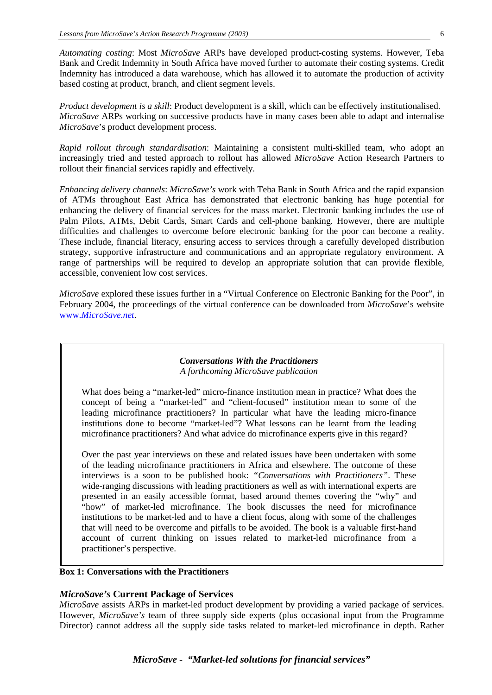*Automating costing*: Most *MicroSave* ARPs have developed product-costing systems. However, Teba Bank and Credit Indemnity in South Africa have moved further to automate their costing systems. Credit Indemnity has introduced a data warehouse, which has allowed it to automate the production of activity based costing at product, branch, and client segment levels.

*Product development is a skill*: Product development is a skill, which can be effectively institutionalised. *MicroSave* ARPs working on successive products have in many cases been able to adapt and internalise *MicroSave*'s product development process.

*Rapid rollout through standardisation*: Maintaining a consistent multi-skilled team, who adopt an increasingly tried and tested approach to rollout has allowed *MicroSave* Action Research Partners to rollout their financial services rapidly and effectively.

*Enhancing delivery channels*: *MicroSave's* work with Teba Bank in South Africa and the rapid expansion of ATMs throughout East Africa has demonstrated that electronic banking has huge potential for enhancing the delivery of financial services for the mass market. Electronic banking includes the use of Palm Pilots, ATMs, Debit Cards, Smart Cards and cell-phone banking. However, there are multiple difficulties and challenges to overcome before electronic banking for the poor can become a reality. These include, financial literacy, ensuring access to services through a carefully developed distribution strategy, supportive infrastructure and communications and an appropriate regulatory environment. A range of partnerships will be required to develop an appropriate solution that can provide flexible, accessible, convenient low cost services.

*MicroSave* explored these issues further in a "Virtual Conference on Electronic Banking for the Poor", in February 2004, the proceedings of the virtual conference can be downloaded from *MicroSave*'s website www.*[MicroSave.net](http://www.microsave.net/)*.

#### *Conversations With the Practitioners A forthcoming MicroSave publication*

What does being a "market-led" micro-finance institution mean in practice? What does the concept of being a "market-led" and "client-focused" institution mean to some of the leading microfinance practitioners? In particular what have the leading micro-finance institutions done to become "market-led"? What lessons can be learnt from the leading microfinance practitioners? And what advice do microfinance experts give in this regard?

Over the past year interviews on these and related issues have been undertaken with some of the leading microfinance practitioners in Africa and elsewhere. The outcome of these interviews is a soon to be published book: *"Conversations with Practitioners"*. These wide-ranging discussions with leading practitioners as well as with international experts are presented in an easily accessible format, based around themes covering the "why" and "how" of market-led microfinance. The book discusses the need for microfinance institutions to be market-led and to have a client focus, along with some of the challenges that will need to be overcome and pitfalls to be avoided. The book is a valuable first-hand account of current thinking on issues related to market-led microfinance from a practitioner's perspective.

#### **Box 1: Conversations with the Practitioners**

#### *MicroSave's* **Current Package of Services**

*MicroSave* assists ARPs in market-led product development by providing a varied package of services. However, *MicroSave's* team of three supply side experts (plus occasional input from the Programme Director) cannot address all the supply side tasks related to market-led microfinance in depth. Rather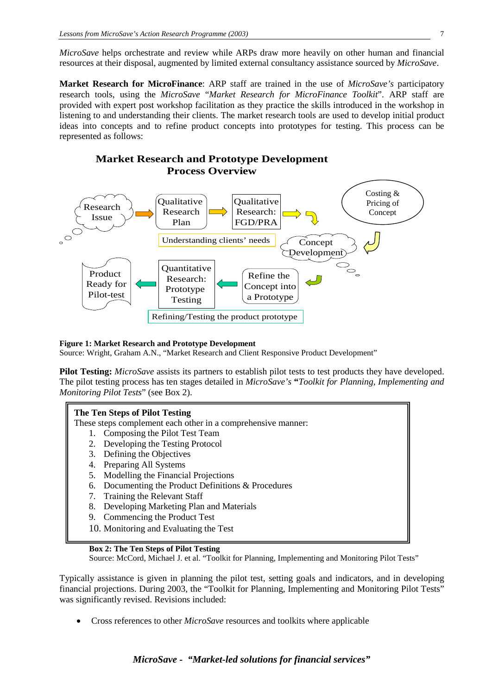*MicroSave* helps orchestrate and review while ARPs draw more heavily on other human and financial resources at their disposal, augmented by limited external consultancy assistance sourced by *MicroSave*.

**Market Research for MicroFinance**: ARP staff are trained in the use of *MicroSave's* participatory research tools, using the *MicroSave* "*Market Research for MicroFinance Toolkit*". ARP staff are provided with expert post workshop facilitation as they practice the skills introduced in the workshop in listening to and understanding their clients. The market research tools are used to develop initial product ideas into concepts and to refine product concepts into prototypes for testing. This process can be represented as follows:

## **Market Research and Prototype Development Process Overview**



#### **Figure 1: Market Research and Prototype Development**

Source: Wright, Graham A.N., "Market Research and Client Responsive Product Development"

**Pilot Testing:** *MicroSave* assists its partners to establish pilot tests to test products they have developed. The pilot testing process has ten stages detailed in *MicroSave's* **"***Toolkit for Planning, Implementing and Monitoring Pilot Tests*" (see Box 2).

#### **The Ten Steps of Pilot Testing**

These steps complement each other in a comprehensive manner:

- 1. Composing the Pilot Test Team
- 2. Developing the Testing Protocol
- 3. Defining the Objectives
- 4. Preparing All Systems
- 5. Modelling the Financial Projections
- 6. Documenting the Product Definitions & Procedures
- 7. Training the Relevant Staff
- 8. Developing Marketing Plan and Materials
- 9. Commencing the Product Test
- 10. Monitoring and Evaluating the Test

#### **Box 2: The Ten Steps of Pilot Testing**

Source: McCord, Michael J. et al. "Toolkit for Planning, Implementing and Monitoring Pilot Tests"

Typically assistance is given in planning the pilot test, setting goals and indicators, and in developing financial projections. During 2003, the "Toolkit for Planning, Implementing and Monitoring Pilot Tests" was significantly revised. Revisions included:

• Cross references to other *MicroSave* resources and toolkits where applicable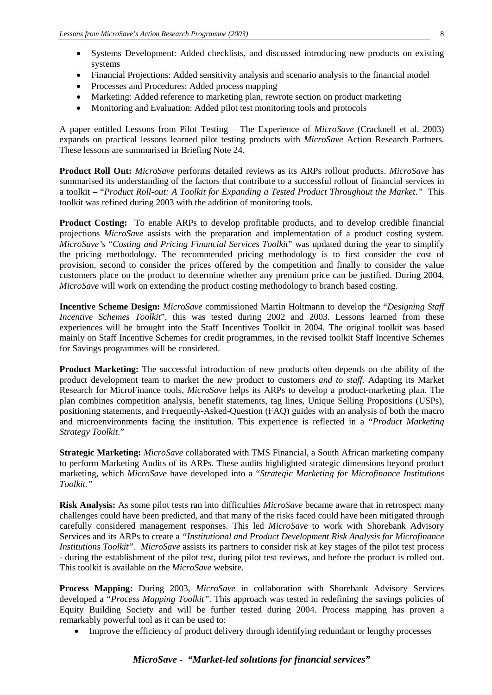- Systems Development: Added checklists, and discussed introducing new products on existing systems
- Financial Projections: Added sensitivity analysis and scenario analysis to the financial model
- Processes and Procedures: Added process mapping
- Marketing: Added reference to marketing plan, rewrote section on product marketing
- Monitoring and Evaluation: Added pilot test monitoring tools and protocols

A paper entitled Lessons from Pilot Testing – The Experience of *MicroSave* (Cracknell et al. 2003) expands on practical lessons learned pilot testing products with *MicroSave* Action Research Partners. These lessons are summarised in Briefing Note 24.

**Product Roll Out:** *MicroSave* performs detailed reviews as its ARPs rollout products. *MicroSave* has summarised its understanding of the factors that contribute to a successful rollout of financial services in a toolkit – "*Product Roll-out: A Toolkit for Expanding a Tested Product Throughout the Market*.*"* This toolkit was refined during 2003 with the addition of monitoring tools.

**Product Costing:** To enable ARPs to develop profitable products, and to develop credible financial projections *MicroSave* assists with the preparation and implementation of a product costing system. *MicroSave's* "*Costing and Pricing Financial Services Toolkit*" was updated during the year to simplify the pricing methodology. The recommended pricing methodology is to first consider the cost of provision, second to consider the prices offered by the competition and finally to consider the value customers place on the product to determine whether any premium price can be justified. During 2004, *MicroSave* will work on extending the product costing methodology to branch based costing.

**Incentive Scheme Design:** *MicroSave* commissioned Martin Holtmann to develop the "*Designing Staff Incentive Schemes Toolkit*", this was tested during 2002 and 2003. Lessons learned from these experiences will be brought into the Staff Incentives Toolkit in 2004. The original toolkit was based mainly on Staff Incentive Schemes for credit programmes, in the revised toolkit Staff Incentive Schemes for Savings programmes will be considered.

**Product Marketing:** The successful introduction of new products often depends on the ability of the product development team to market the new product to customers *and to staff.* Adapting its Market Research for MicroFinance tools, *MicroSave* helps its ARPs to develop a product-marketing plan. The plan combines competition analysis, benefit statements, tag lines, Unique Selling Propositions (USPs), positioning statements, and Frequently-Asked-Question (FAQ) guides with an analysis of both the macro and microenvironments facing the institution. This experience is reflected in a "*Product Marketing Strategy Toolkit*."

**Strategic Marketing:** *MicroSave* collaborated with TMS Financial, a South African marketing company to perform Marketing Audits of its ARPs. These audits highlighted strategic dimensions beyond product marketing, which *MicroSave* have developed into a "*Strategic Marketing for Microfinance Institutions Toolkit*.*"*

**Risk Analysis:** As some pilot tests ran into difficulties *MicroSave* became aware that in retrospect many challenges could have been predicted, and that many of the risks faced could have been mitigated through carefully considered management responses. This led *MicroSave* to work with Shorebank Advisory Services and its ARPs to create a *"Institutional and Product Development Risk Analysis for Microfinance Institutions Toolkit"*. *MicroSave* assists its partners to consider risk at key stages of the pilot test process - during the establishment of the pilot test, during pilot test reviews, and before the product is rolled out. This toolkit is available on the *MicroSave* website.

**Process Mapping:** During 2003, *MicroSave* in collaboration with Shorebank Advisory Services developed a "*Process Mapping Toolkit"*. This approach was tested in redefining the savings policies of Equity Building Society and will be further tested during 2004. Process mapping has proven a remarkably powerful tool as it can be used to:

• Improve the efficiency of product delivery through identifying redundant or lengthy processes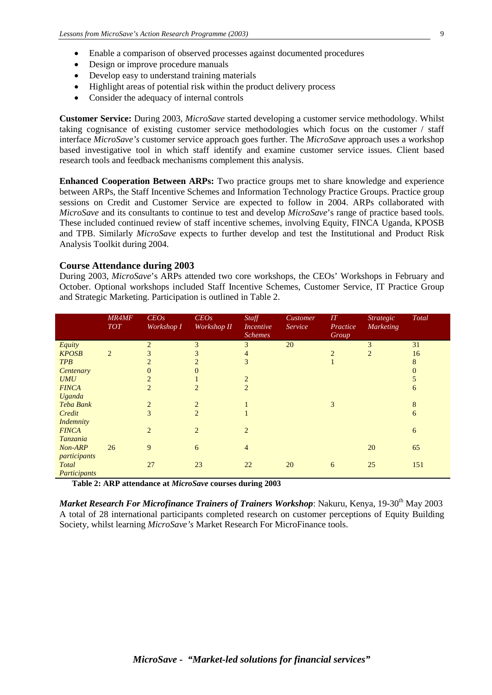- Design or improve procedure manuals
- Develop easy to understand training materials
- Highlight areas of potential risk within the product delivery process
- Consider the adequacy of internal controls

**Customer Service:** During 2003, *MicroSave* started developing a customer service methodology. Whilst taking cognisance of existing customer service methodologies which focus on the customer / staff interface *MicroSave's* customer service approach goes further. The *MicroSave* approach uses a workshop based investigative tool in which staff identify and examine customer service issues. Client based research tools and feedback mechanisms complement this analysis.

**Enhanced Cooperation Between ARPs:** Two practice groups met to share knowledge and experience between ARPs, the Staff Incentive Schemes and Information Technology Practice Groups. Practice group sessions on Credit and Customer Service are expected to follow in 2004. ARPs collaborated with *MicroSave* and its consultants to continue to test and develop *MicroSave*'s range of practice based tools. These included continued review of staff incentive schemes, involving Equity, FINCA Uganda, KPOSB and TPB. Similarly *MicroSave* expects to further develop and test the Institutional and Product Risk Analysis Toolkit during 2004.

#### **Course Attendance during 2003**

During 2003, *MicroSave*'s ARPs attended two core workshops, the CEOs' Workshops in February and October. Optional workshops included Staff Incentive Schemes, Customer Service, IT Practice Group and Strategic Marketing. Participation is outlined in Table 2.

|                  | <b>MR4MF</b><br><b>TOT</b> | CEOs<br>Workshop I | CEOs<br>Workshop II | Staff<br><i>Incentive</i><br><b>Schemes</b> | Customer<br>Service | $I\!I$<br>Practice<br>Group | <b>Strategic</b><br><b>Marketing</b> | <b>Total</b> |
|------------------|----------------------------|--------------------|---------------------|---------------------------------------------|---------------------|-----------------------------|--------------------------------------|--------------|
| Equity           |                            | $\overline{2}$     | 3                   | 3                                           | 20                  |                             | 3                                    | 31           |
| <b>KPOSB</b>     | $\overline{2}$             | 3                  | 3                   | $\overline{4}$                              |                     | $\overline{2}$              | 2                                    | 16           |
| <b>TPB</b>       |                            |                    | $\mathfrak{D}$      | $\overline{3}$                              |                     |                             |                                      | 8            |
| Centenary        |                            |                    | $\Omega$            |                                             |                     |                             |                                      | $\Omega$     |
| <b>UMU</b>       |                            |                    |                     | $\overline{2}$                              |                     |                             |                                      | 5            |
| <b>FINCA</b>     |                            | 2                  | $\overline{2}$      | $\overline{2}$                              |                     |                             |                                      | 6            |
| Uganda           |                            |                    |                     |                                             |                     |                             |                                      |              |
| Teba Bank        |                            | $\overline{2}$     | $\overline{2}$      |                                             |                     | 3                           |                                      | 8            |
| Credit           |                            | 3                  | $\overline{2}$      |                                             |                     |                             |                                      | 6            |
| <b>Indemnity</b> |                            |                    |                     |                                             |                     |                             |                                      |              |
| <b>FINCA</b>     |                            | $\overline{2}$     | $\overline{2}$      | $\overline{2}$                              |                     |                             |                                      | 6            |
| Tanzania         |                            |                    |                     |                                             |                     |                             |                                      |              |
| Non-ARP          | 26                         | 9                  | 6                   | $\overline{4}$                              |                     |                             | 20                                   | 65           |
| participants     |                            |                    |                     |                                             |                     |                             |                                      |              |
| Total            |                            | 27                 | 23                  | 22                                          | 20                  | 6                           | 25                                   | 151          |
| Participants     |                            |                    |                     |                                             |                     |                             |                                      |              |

 **Table 2: ARP attendance at** *MicroSave* **courses during 2003**

*Market Research For Microfinance Trainers of Trainers Workshop: Nakuru, Kenya, 19-30<sup>th</sup> May 2003* A total of 28 international participants completed research on customer perceptions of Equity Building Society, whilst learning *MicroSave's* Market Research For MicroFinance tools.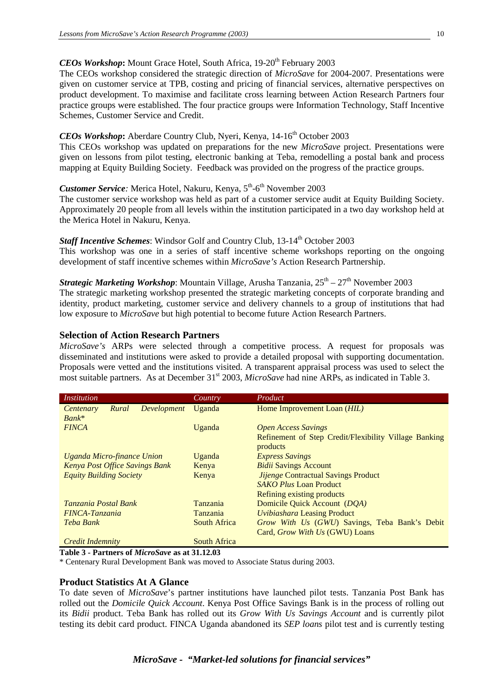## *CEOs Workshop*: Mount Grace Hotel, South Africa, 19-20<sup>th</sup> February 2003

The CEOs workshop considered the strategic direction of *MicroSave* for 2004-2007. Presentations were given on customer service at TPB, costing and pricing of financial services, alternative perspectives on product development. To maximise and facilitate cross learning between Action Research Partners four practice groups were established. The four practice groups were Information Technology, Staff Incentive Schemes, Customer Service and Credit.

## *CEOs Workshop*: Aberdare Country Club, Nyeri, Kenya, 14-16<sup>th</sup> October 2003

This CEOs workshop was updated on preparations for the new *MicroSave* project. Presentations were given on lessons from pilot testing, electronic banking at Teba, remodelling a postal bank and process mapping at Equity Building Society. Feedback was provided on the progress of the practice groups.

## *Customer Service*: Merica Hotel, Nakuru, Kenya, 5<sup>th</sup>-6<sup>th</sup> November 2003

The customer service workshop was held as part of a customer service audit at Equity Building Society. Approximately 20 people from all levels within the institution participated in a two day workshop held at the Merica Hotel in Nakuru, Kenya.

## *Staff Incentive Schemes:* Windsor Golf and Country Club, 13-14<sup>th</sup> October 2003

This workshop was one in a series of staff incentive scheme workshops reporting on the ongoing development of staff incentive schemes within *MicroSave's* Action Research Partnership.

## *Strategic Marketing Workshop*: Mountain Village, Arusha Tanzania,  $25<sup>th</sup> - 27<sup>th</sup>$  November 2003

The strategic marketing workshop presented the strategic marketing concepts of corporate branding and identity, product marketing, customer service and delivery channels to a group of institutions that had low exposure to *MicroSave* but high potential to become future Action Research Partners.

#### **Selection of Action Research Partners**

*MicroSave's* ARPs were selected through a competitive process. A request for proposals was disseminated and institutions were asked to provide a detailed proposal with supporting documentation. Proposals were vetted and the institutions visited. A transparent appraisal process was used to select the most suitable partners. As at December 31<sup>st</sup> 2003, *MicroSave* had nine ARPs, as indicated in Table 3.

| <i>Institution</i>                                  | Country         | Product                                                           |
|-----------------------------------------------------|-----------------|-------------------------------------------------------------------|
| <b>Development</b><br>Rural<br>Centenary<br>$Bank*$ | Uganda          | Home Improvement Loan ( <i>HIL</i> )                              |
| <b>FINCA</b>                                        | Uganda          | <b>Open Access Savings</b>                                        |
|                                                     |                 | Refinement of Step Credit/Flexibility Village Banking<br>products |
| Uganda Micro-finance Union                          | Uganda          | <i><b>Express Savings</b></i>                                     |
| <b>Kenya Post Office Savings Bank</b>               | Kenya           | <b>Bidii Savings Account</b>                                      |
| <b>Equity Building Society</b>                      | Kenya           | <b>Jijenge Contractual Savings Product</b>                        |
|                                                     |                 | <b>SAKO Plus Loan Product</b>                                     |
|                                                     |                 | Refining existing products                                        |
| Tanzania Postal Bank                                | Tanzania        | Domicile Quick Account (DOA)                                      |
| FINCA-Tanzania                                      | <b>Tanzania</b> | <b>Uvibiashara Leasing Product</b>                                |
| Teba Bank                                           | South Africa    | Grow With Us (GWU) Savings, Teba Bank's Debit                     |
|                                                     |                 | Card, Grow With Us (GWU) Loans                                    |
| <b>Credit Indemnity</b>                             | South Africa    |                                                                   |

**Table 3 - Partners of** *MicroSave* **as at 31.12.03**

\* Centenary Rural Development Bank was moved to Associate Status during 2003.

#### **Product Statistics At A Glance**

To date seven of *MicroSave*'s partner institutions have launched pilot tests. Tanzania Post Bank has rolled out the *Domicile Quick Account*. Kenya Post Office Savings Bank is in the process of rolling out its *Bidii* product. Teba Bank has rolled out its *Grow With Us Savings Account* and is currently pilot testing its debit card product. FINCA Uganda abandoned its *SEP loans* pilot test and is currently testing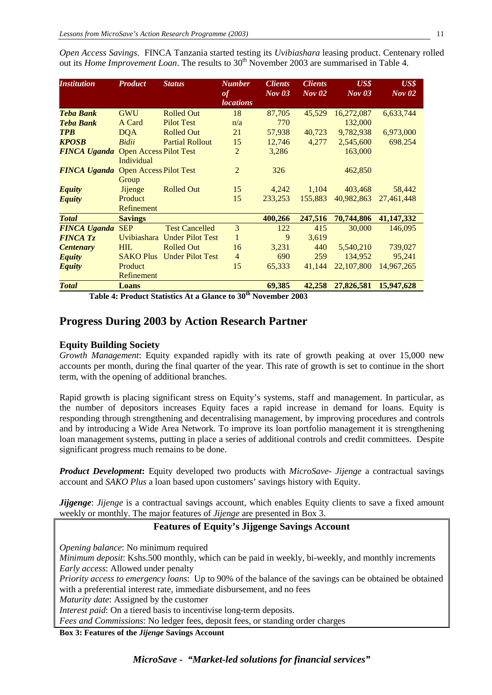*Open Access Savings*. FINCA Tanzania started testing its *Uvibiashara* leasing product. Centenary rolled out its *Home Improvement Loan*. The results to 30<sup>th</sup> November 2003 are summarised in Table 4.

| <b>Institution</b>                         | <b>Product</b>   | <b>Status</b>                | <b>Number</b><br>of<br><i>locations</i> | <b>Clients</b><br>Nov 03 | <b>Clients</b><br>$Nov$ 02 | $\boldsymbol{U}$ S\$<br>$Nov$ 03 | $\boldsymbol{U}$ S\$<br>$Nov$ 02 |
|--------------------------------------------|------------------|------------------------------|-----------------------------------------|--------------------------|----------------------------|----------------------------------|----------------------------------|
| <b>Teba Bank</b>                           | <b>GWU</b>       | <b>Rolled Out</b>            | 18                                      | 87,705                   | 45,529                     | 16,272,087                       | 6,633,744                        |
| <b>Teba Bank</b>                           | A Card           | <b>Pilot Test</b>            | n/a                                     | 770                      |                            | 132,000                          |                                  |
| <b>TPB</b>                                 | <b>DQA</b>       | <b>Rolled Out</b>            | 21                                      | 57,938                   | 40,723                     | 9,782,938                        | 6,973,000                        |
| <b>KPOSB</b>                               | Bidii            | <b>Partial Rollout</b>       | 15                                      | 12,746                   | 4,277                      | 2,545,600                        | 698.254                          |
| <b>FINCA Uganda</b> Open Access Pilot Test | Individual       |                              | $\overline{2}$                          | 3,286                    |                            | 163,000                          |                                  |
| <b>FINCA Uganda</b> Open Access Pilot Test | Group            |                              | 2                                       | 326                      |                            | 462,850                          |                                  |
| <b>Equity</b>                              | <b>Jijenge</b>   | <b>Rolled Out</b>            | 15                                      | 4,242                    | 1,104                      | 403,468                          | 58,442                           |
| <b>Equity</b>                              | Product          |                              | 15                                      | 233,253                  | 155,883                    | 40,982,863                       | 27,461,448                       |
|                                            | Refinement       |                              |                                         |                          |                            |                                  |                                  |
| <b>Total</b>                               | <b>Savings</b>   |                              |                                         | 400,266                  | 247,516                    | 70,744,806                       | 41,147,332                       |
| <b>FINCA Uganda</b>                        | <b>SEP</b>       | <b>Test Cancelled</b>        | 3                                       | 122                      | 415                        | 30,000                           | 146,095                          |
| <b>FINCA Tz</b>                            |                  | Uvibiashara Under Pilot Test | $\mathbf{1}$                            | 9                        | 3,619                      |                                  |                                  |
| <b>Centenary</b>                           | <b>HIL</b>       | <b>Rolled Out</b>            | 16                                      | 3,231                    | 440                        | 5,540,210                        | 739,027                          |
| <b>Equity</b>                              | <b>SAKO Plus</b> | <b>Under Pilot Test</b>      | $\overline{4}$                          | 690                      | 259                        | 134,952                          | 95,241                           |
| <b>Equity</b>                              | Product          |                              | 15                                      | 65,333                   | 41,144                     | 22,107,800                       | 14,967,265                       |
|                                            | Refinement       |                              |                                         |                          |                            |                                  |                                  |
| <b>Total</b>                               | Loans            |                              |                                         | 69,385                   | 42,258                     | 27,826,581                       | 15,947,628                       |

**Table 4: Product Statistics At a Glance to 30th November 2003**

## **Progress During 2003 by Action Research Partner**

#### **Equity Building Society**

*Growth Management*: Equity expanded rapidly with its rate of growth peaking at over 15,000 new accounts per month, during the final quarter of the year. This rate of growth is set to continue in the short term, with the opening of additional branches.

Rapid growth is placing significant stress on Equity's systems, staff and management. In particular, as the number of depositors increases Equity faces a rapid increase in demand for loans. Equity is responding through strengthening and decentralising management, by improving procedures and controls and by introducing a Wide Area Network. To improve its loan portfolio management it is strengthening loan management systems, putting in place a series of additional controls and credit committees. Despite significant progress much remains to be done.

*Product Development***:** Equity developed two products with *MicroSave- Jijenge* a contractual savings account and *SAKO Plus* a loan based upon customers' savings history with Equity.

*Jijgenge: Jijenge* is a contractual savings account, which enables Equity clients to save a fixed amount weekly or monthly. The major features of *Jijenge* are presented in Box 3.

### **Features of Equity's Jijgenge Savings Account**

*Opening balance*: No minimum required *Minimum deposit*: Kshs.500 monthly, which can be paid in weekly, bi-weekly, and monthly increments *Early access*: Allowed under penalty *Priority access to emergency loans*: Up to 90% of the balance of the savings can be obtained be obtained with a preferential interest rate, immediate disbursement, and no fees *Maturity date*: Assigned by the customer *Interest paid*: On a tiered basis to incentivise long-term deposits. *Fees and Commissions*: No ledger fees, deposit fees, or standing order charges

**Box 3: Features of the** *Jijenge* **Savings Account**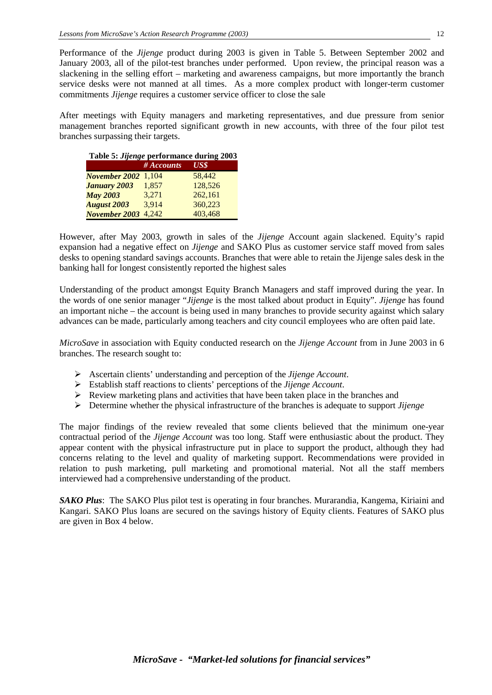Performance of the *Jijenge* product during 2003 is given in Table 5. Between September 2002 and January 2003, all of the pilot-test branches under performed. Upon review, the principal reason was a slackening in the selling effort – marketing and awareness campaigns, but more importantly the branch service desks were not manned at all times. As a more complex product with longer-term customer commitments *Jijenge* requires a customer service officer to close the sale

After meetings with Equity managers and marketing representatives, and due pressure from senior management branches reported significant growth in new accounts, with three of the four pilot test branches surpassing their targets.

| Table 5: <i>Jijenge</i> performance during 2003 |            |         |  |  |  |
|-------------------------------------------------|------------|---------|--|--|--|
|                                                 | # Accounts | US\$    |  |  |  |
| <b>November 2002</b> 1,104                      |            | 58,442  |  |  |  |
| <b>January 2003</b>                             | 1.857      | 128,526 |  |  |  |
| <b>May 2003</b>                                 | 3.271      | 262,161 |  |  |  |
| <b>August 2003</b>                              | 3,914      | 360,223 |  |  |  |
| <b>November 2003</b>                            | 4.242      | 403,468 |  |  |  |

However, after May 2003, growth in sales of the *Jijenge* Account again slackened. Equity's rapid expansion had a negative effect on *Jijenge* and SAKO Plus as customer service staff moved from sales desks to opening standard savings accounts. Branches that were able to retain the Jijenge sales desk in the banking hall for longest consistently reported the highest sales

Understanding of the product amongst Equity Branch Managers and staff improved during the year. In the words of one senior manager "*Jijenge* is the most talked about product in Equity". *Jijenge* has found an important niche – the account is being used in many branches to provide security against which salary advances can be made, particularly among teachers and city council employees who are often paid late.

*MicroSave* in association with Equity conducted research on the *Jijenge Account* from in June 2003 in 6 branches. The research sought to:

- Ascertain clients' understanding and perception of the *Jijenge Account*.
- Establish staff reactions to clients' perceptions of the *Jijenge Account*.
- $\triangleright$  Review marketing plans and activities that have been taken place in the branches and
- Determine whether the physical infrastructure of the branches is adequate to support *Jijenge*

The major findings of the review revealed that some clients believed that the minimum one-year contractual period of the *Jijenge Account* was too long. Staff were enthusiastic about the product. They appear content with the physical infrastructure put in place to support the product, although they had concerns relating to the level and quality of marketing support. Recommendations were provided in relation to push marketing, pull marketing and promotional material. Not all the staff members interviewed had a comprehensive understanding of the product.

*SAKO Plus*:The SAKO Plus pilot test is operating in four branches. Murarandia, Kangema, Kiriaini and Kangari. SAKO Plus loans are secured on the savings history of Equity clients. Features of SAKO plus are given in Box 4 below.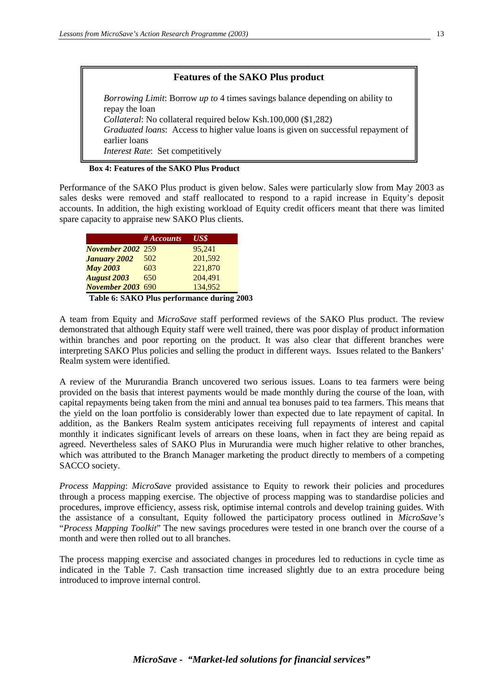#### **Features of the SAKO Plus product**

*Borrowing Limit*: Borrow *up to* 4 times savings balance depending on ability to repay the loan *Collateral*: No collateral required below Ksh.100,000 (\$1,282) *Graduated loans*: Access to higher value loans is given on successful repayment of earlier loans *Interest Rate*: Set competitively

**Box 4: Features of the SAKO Plus Product**

Performance of the SAKO Plus product is given below. Sales were particularly slow from May 2003 as sales desks were removed and staff reallocated to respond to a rapid increase in Equity's deposit accounts. In addition, the high existing workload of Equity credit officers meant that there was limited spare capacity to appraise new SAKO Plus clients.

|                          | $#$ Accounts | US\$    |
|--------------------------|--------------|---------|
| <b>November 2002 259</b> |              | 95.241  |
| <b>January 2002</b>      | 502          | 201,592 |
| <b>May 2003</b>          | 603          | 221,870 |
| <b>August 2003</b>       | 650          | 204,491 |
| <b>November 2003 690</b> |              | 134,952 |

**Table 6: SAKO Plus performance during 2003**

A team from Equity and *MicroSave* staff performed reviews of the SAKO Plus product. The review demonstrated that although Equity staff were well trained, there was poor display of product information within branches and poor reporting on the product. It was also clear that different branches were interpreting SAKO Plus policies and selling the product in different ways. Issues related to the Bankers' Realm system were identified.

A review of the Mururandia Branch uncovered two serious issues. Loans to tea farmers were being provided on the basis that interest payments would be made monthly during the course of the loan, with capital repayments being taken from the mini and annual tea bonuses paid to tea farmers. This means that the yield on the loan portfolio is considerably lower than expected due to late repayment of capital. In addition, as the Bankers Realm system anticipates receiving full repayments of interest and capital monthly it indicates significant levels of arrears on these loans, when in fact they are being repaid as agreed. Nevertheless sales of SAKO Plus in Mururandia were much higher relative to other branches, which was attributed to the Branch Manager marketing the product directly to members of a competing SACCO society.

*Process Mapping*: *MicroSave* provided assistance to Equity to rework their policies and procedures through a process mapping exercise. The objective of process mapping was to standardise policies and procedures, improve efficiency, assess risk, optimise internal controls and develop training guides. With the assistance of a consultant, Equity followed the participatory process outlined in *MicroSave's*  "*Process Mapping Toolkit*" The new savings procedures were tested in one branch over the course of a month and were then rolled out to all branches.

The process mapping exercise and associated changes in procedures led to reductions in cycle time as indicated in the Table 7. Cash transaction time increased slightly due to an extra procedure being introduced to improve internal control.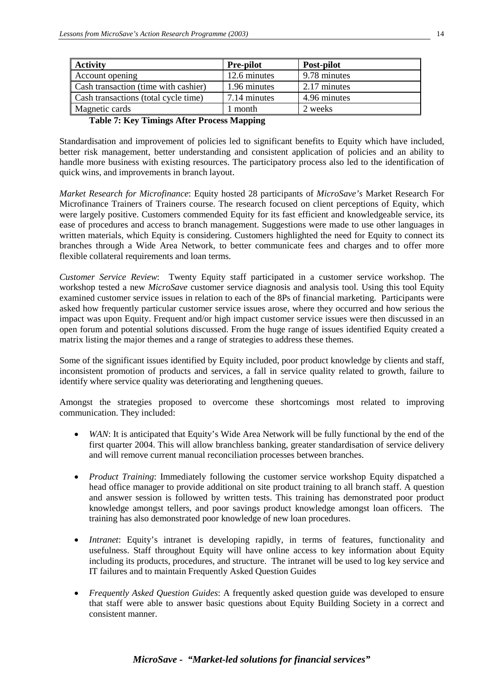| <b>Activity</b>                      | <b>Pre-pilot</b> | Post-pilot   |
|--------------------------------------|------------------|--------------|
| Account opening                      | 12.6 minutes     | 9.78 minutes |
| Cash transaction (time with cashier) | 1.96 minutes     | 2.17 minutes |
| Cash transactions (total cycle time) | 7.14 minutes     | 4.96 minutes |
| Magnetic cards                       | 1 month          | 2 weeks      |

#### **Table 7: Key Timings After Process Mapping**

Standardisation and improvement of policies led to significant benefits to Equity which have included, better risk management, better understanding and consistent application of policies and an ability to handle more business with existing resources. The participatory process also led to the identification of quick wins, and improvements in branch layout.

*Market Research for Microfinance*: Equity hosted 28 participants of *MicroSave's* Market Research For Microfinance Trainers of Trainers course. The research focused on client perceptions of Equity, which were largely positive. Customers commended Equity for its fast efficient and knowledgeable service, its ease of procedures and access to branch management. Suggestions were made to use other languages in written materials, which Equity is considering. Customers highlighted the need for Equity to connect its branches through a Wide Area Network, to better communicate fees and charges and to offer more flexible collateral requirements and loan terms.

*Customer Service Review*: Twenty Equity staff participated in a customer service workshop. The workshop tested a new *MicroSave* customer service diagnosis and analysis tool. Using this tool Equity examined customer service issues in relation to each of the 8Ps of financial marketing. Participants were asked how frequently particular customer service issues arose, where they occurred and how serious the impact was upon Equity. Frequent and/or high impact customer service issues were then discussed in an open forum and potential solutions discussed. From the huge range of issues identified Equity created a matrix listing the major themes and a range of strategies to address these themes.

Some of the significant issues identified by Equity included, poor product knowledge by clients and staff, inconsistent promotion of products and services, a fall in service quality related to growth, failure to identify where service quality was deteriorating and lengthening queues.

Amongst the strategies proposed to overcome these shortcomings most related to improving communication. They included:

- *WAN*: It is anticipated that Equity's Wide Area Network will be fully functional by the end of the first quarter 2004. This will allow branchless banking, greater standardisation of service delivery and will remove current manual reconciliation processes between branches.
- *Product Training*: Immediately following the customer service workshop Equity dispatched a head office manager to provide additional on site product training to all branch staff. A question and answer session is followed by written tests. This training has demonstrated poor product knowledge amongst tellers, and poor savings product knowledge amongst loan officers. The training has also demonstrated poor knowledge of new loan procedures.
- *Intranet*: Equity's intranet is developing rapidly, in terms of features, functionality and usefulness. Staff throughout Equity will have online access to key information about Equity including its products, procedures, and structure. The intranet will be used to log key service and IT failures and to maintain Frequently Asked Question Guides
- *Frequently Asked Question Guides*: A frequently asked question guide was developed to ensure that staff were able to answer basic questions about Equity Building Society in a correct and consistent manner.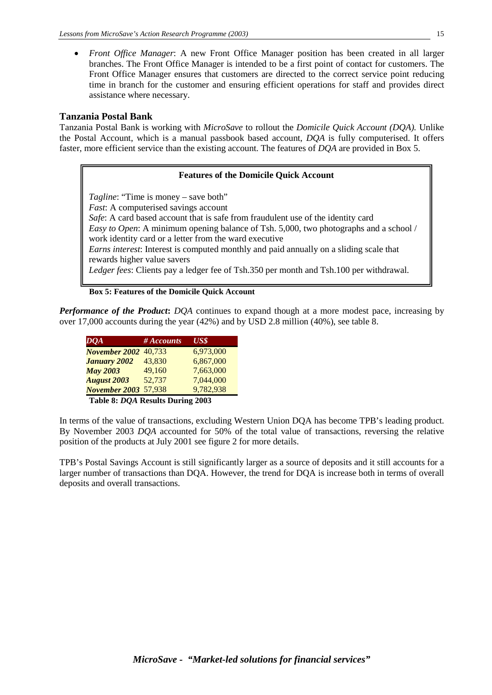• *Front Office Manager*: A new Front Office Manager position has been created in all larger branches. The Front Office Manager is intended to be a first point of contact for customers. The Front Office Manager ensures that customers are directed to the correct service point reducing time in branch for the customer and ensuring efficient operations for staff and provides direct assistance where necessary.

#### **Tanzania Postal Bank**

Tanzania Postal Bank is working with *MicroSave* to rollout the *Domicile Quick Account (DQA).* Unlike the Postal Account, which is a manual passbook based account, *DQA* is fully computerised. It offers faster, more efficient service than the existing account. The features of *DQA* are provided in Box 5.

#### **Features of the Domicile Quick Account**

*Tagline*: "Time is money – save both"

*Fast*: A computerised savings account

*Safe*: A card based account that is safe from fraudulent use of the identity card *Easy to Open*: A minimum opening balance of Tsh. 5,000, two photographs and a school / work identity card or a letter from the ward executive *Earns interest*: Interest is computed monthly and paid annually on a sliding scale that

rewards higher value savers

*Ledger fees*: Clients pay a ledger fee of Tsh.350 per month and Tsh.100 per withdrawal.

#### **Box 5: Features of the Domicile Quick Account**

*Performance of the Product***:** *DQA* continues to expand though at a more modest pace, increasing by over 17,000 accounts during the year (42%) and by USD 2.8 million (40%), see table 8.

| DQA                              | # Accounts | US\$      |  |  |
|----------------------------------|------------|-----------|--|--|
| <b>November 2002</b> 40,733      |            | 6,973,000 |  |  |
| <b>January 2002</b>              | 43.830     | 6,867,000 |  |  |
| <b>May 2003</b>                  | 49,160     | 7,663,000 |  |  |
| <b>August 2003</b>               | 52,737     | 7,044,000 |  |  |
| <b>November 2003</b>             | 57,938     | 9,782,938 |  |  |
| Table 8: DQA Results During 2003 |            |           |  |  |

In terms of the value of transactions, excluding Western Union DQA has become TPB's leading product. By November 2003 *DQA* accounted for 50% of the total value of transactions, reversing the relative position of the products at July 2001 see figure 2 for more details.

TPB's Postal Savings Account is still significantly larger as a source of deposits and it still accounts for a larger number of transactions than DQA. However, the trend for DQA is increase both in terms of overall deposits and overall transactions.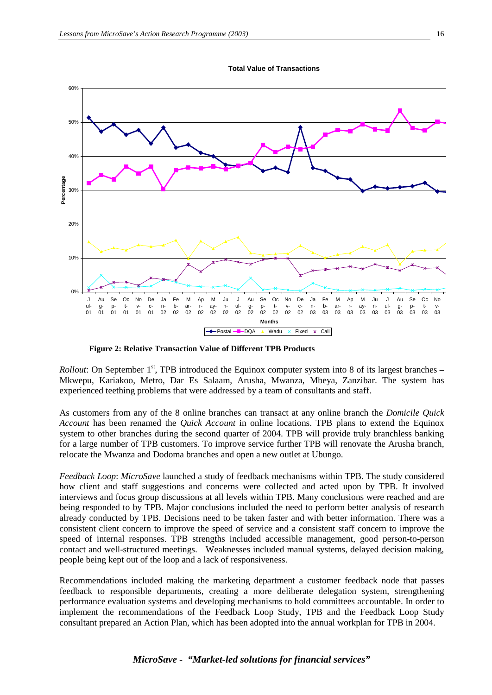



**Figure 2: Relative Transaction Value of Different TPB Products** 

*Rollout*: On September  $1<sup>st</sup>$ , TPB introduced the Equinox computer system into 8 of its largest branches – Mkwepu, Kariakoo, Metro, Dar Es Salaam, Arusha, Mwanza, Mbeya, Zanzibar. The system has experienced teething problems that were addressed by a team of consultants and staff.

As customers from any of the 8 online branches can transact at any online branch the *Domicile Quick Account* has been renamed the *Quick Account* in online locations. TPB plans to extend the Equinox system to other branches during the second quarter of 2004. TPB will provide truly branchless banking for a large number of TPB customers. To improve service further TPB will renovate the Arusha branch, relocate the Mwanza and Dodoma branches and open a new outlet at Ubungo.

*Feedback Loop*: *MicroSave* launched a study of feedback mechanisms within TPB. The study considered how client and staff suggestions and concerns were collected and acted upon by TPB. It involved interviews and focus group discussions at all levels within TPB. Many conclusions were reached and are being responded to by TPB. Major conclusions included the need to perform better analysis of research already conducted by TPB. Decisions need to be taken faster and with better information. There was a consistent client concern to improve the speed of service and a consistent staff concern to improve the speed of internal responses. TPB strengths included accessible management, good person-to-person contact and well-structured meetings. Weaknesses included manual systems, delayed decision making, people being kept out of the loop and a lack of responsiveness.

Recommendations included making the marketing department a customer feedback node that passes feedback to responsible departments, creating a more deliberate delegation system, strengthening performance evaluation systems and developing mechanisms to hold committees accountable. In order to implement the recommendations of the Feedback Loop Study, TPB and the Feedback Loop Study consultant prepared an Action Plan, which has been adopted into the annual workplan for TPB in 2004.

## *MicroSave - "Market-led solutions for financial services"*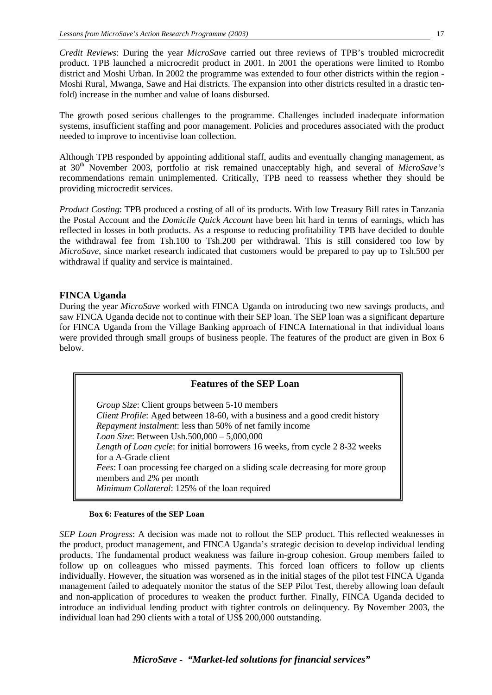*Credit Reviews*: During the year *MicroSave* carried out three reviews of TPB's troubled microcredit product. TPB launched a microcredit product in 2001. In 2001 the operations were limited to Rombo district and Moshi Urban. In 2002 the programme was extended to four other districts within the region - Moshi Rural, Mwanga, Sawe and Hai districts. The expansion into other districts resulted in a drastic tenfold) increase in the number and value of loans disbursed.

The growth posed serious challenges to the programme. Challenges included inadequate information systems, insufficient staffing and poor management. Policies and procedures associated with the product needed to improve to incentivise loan collection.

Although TPB responded by appointing additional staff, audits and eventually changing management, as at 30th November 2003, portfolio at risk remained unacceptably high, and several of *MicroSave's*  recommendations remain unimplemented. Critically, TPB need to reassess whether they should be providing microcredit services.

*Product Costing*: TPB produced a costing of all of its products. With low Treasury Bill rates in Tanzania the Postal Account and the *Domicile Quick Account* have been hit hard in terms of earnings, which has reflected in losses in both products. As a response to reducing profitability TPB have decided to double the withdrawal fee from Tsh.100 to Tsh.200 per withdrawal. This is still considered too low by *MicroSave*, since market research indicated that customers would be prepared to pay up to Tsh.500 per withdrawal if quality and service is maintained.

#### **FINCA Uganda**

During the year *MicroSave* worked with FINCA Uganda on introducing two new savings products, and saw FINCA Uganda decide not to continue with their SEP loan. The SEP loan was a significant departure for FINCA Uganda from the Village Banking approach of FINCA International in that individual loans were provided through small groups of business people. The features of the product are given in Box 6 below.

| <b>Features of the SEP Loan</b>                                                                                                                                                                                                                                                                                                                                 |  |
|-----------------------------------------------------------------------------------------------------------------------------------------------------------------------------------------------------------------------------------------------------------------------------------------------------------------------------------------------------------------|--|
| <i>Group Size:</i> Client groups between 5-10 members<br>Client Profile: Aged between 18-60, with a business and a good credit history<br><i>Repayment instalment:</i> less than 50% of net family income<br>Loan Size: Between Ush.500,000 - 5,000,000<br>Length of Loan cycle: for initial borrowers 16 weeks, from cycle 28-32 weeks<br>for a A-Grade client |  |
| <i>Fees:</i> Loan processing fee charged on a sliding scale decreasing for more group<br>members and 2% per month<br>Minimum Collateral: 125% of the loan required                                                                                                                                                                                              |  |

#### **Box 6: Features of the SEP Loan**

*SEP Loan Progress*: A decision was made not to rollout the SEP product. This reflected weaknesses in the product, product management, and FINCA Uganda's strategic decision to develop individual lending products. The fundamental product weakness was failure in-group cohesion. Group members failed to follow up on colleagues who missed payments. This forced loan officers to follow up clients individually. However, the situation was worsened as in the initial stages of the pilot test FINCA Uganda management failed to adequately monitor the status of the SEP Pilot Test, thereby allowing loan default and non-application of procedures to weaken the product further. Finally, FINCA Uganda decided to introduce an individual lending product with tighter controls on delinquency. By November 2003, the individual loan had 290 clients with a total of US\$ 200,000 outstanding.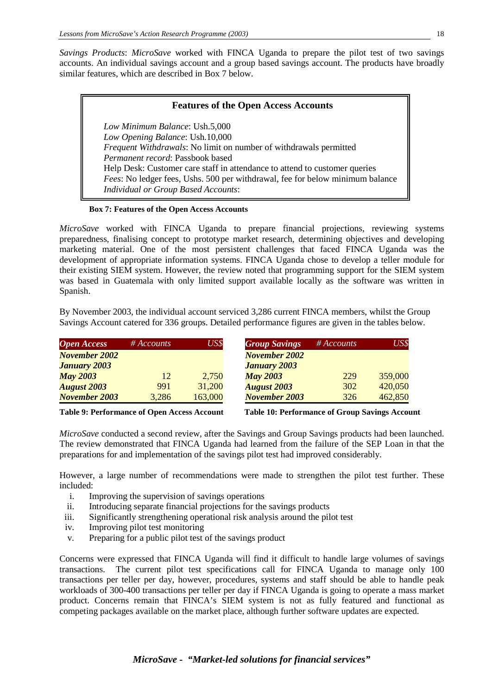*Savings Products*: *MicroSave* worked with FINCA Uganda to prepare the pilot test of two savings accounts. An individual savings account and a group based savings account. The products have broadly similar features, which are described in Box 7 below.

#### **Features of the Open Access Accounts**

*Low Minimum Balance*: Ush.5,000 *Low Opening Balance*: Ush.10,000 *Frequent Withdrawals*: No limit on number of withdrawals permitted *Permanent record*: Passbook based Help Desk: Customer care staff in attendance to attend to customer queries *Fees*: No ledger fees, Ushs. 500 per withdrawal, fee for below minimum balance *Individual or Group Based Accounts*:

#### **Box 7: Features of the Open Access Accounts**

*MicroSave* worked with FINCA Uganda to prepare financial projections, reviewing systems preparedness, finalising concept to prototype market research, determining objectives and developing marketing material. One of the most persistent challenges that faced FINCA Uganda was the development of appropriate information systems. FINCA Uganda chose to develop a teller module for their existing SIEM system. However, the review noted that programming support for the SIEM system was based in Guatemala with only limited support available locally as the software was written in Spanish.

By November 2003, the individual account serviced 3,286 current FINCA members, whilst the Group Savings Account catered for 336 groups. Detailed performance figures are given in the tables below.

| <b>Open Access</b>   | $\#$ Accounts | US\$    | <b>Group Savings</b> | $#$ Accounts | US\$    |
|----------------------|---------------|---------|----------------------|--------------|---------|
| <b>November 2002</b> |               |         | <b>November 2002</b> |              |         |
| <b>January 2003</b>  |               |         | <b>January 2003</b>  |              |         |
| <b>May 2003</b>      | 12            | 2,750   | <b>May 2003</b>      | 229          | 359,000 |
| <b>August 2003</b>   | 991           | 31,200  | <b>August 2003</b>   | 302          | 420,050 |
| <b>November 2003</b> | 3,286         | 163,000 | <b>November 2003</b> | 326          | 462,850 |
|                      |               |         |                      |              |         |

**Table 9: Performance of Open Access Account Table 10: Performance of Group Savings Account**

*MicroSave* conducted a second review, after the Savings and Group Savings products had been launched. The review demonstrated that FINCA Uganda had learned from the failure of the SEP Loan in that the preparations for and implementation of the savings pilot test had improved considerably.

However, a large number of recommendations were made to strengthen the pilot test further. These included:

- i. Improving the supervision of savings operations
- ii. Introducing separate financial projections for the savings products
- iii. Significantly strengthening operational risk analysis around the pilot test
- iv. Improving pilot test monitoring
- v. Preparing for a public pilot test of the savings product

Concerns were expressed that FINCA Uganda will find it difficult to handle large volumes of savings transactions. The current pilot test specifications call for FINCA Uganda to manage only 100 transactions per teller per day, however, procedures, systems and staff should be able to handle peak workloads of 300-400 transactions per teller per day if FINCA Uganda is going to operate a mass market product. Concerns remain that FINCA's SIEM system is not as fully featured and functional as competing packages available on the market place, although further software updates are expected.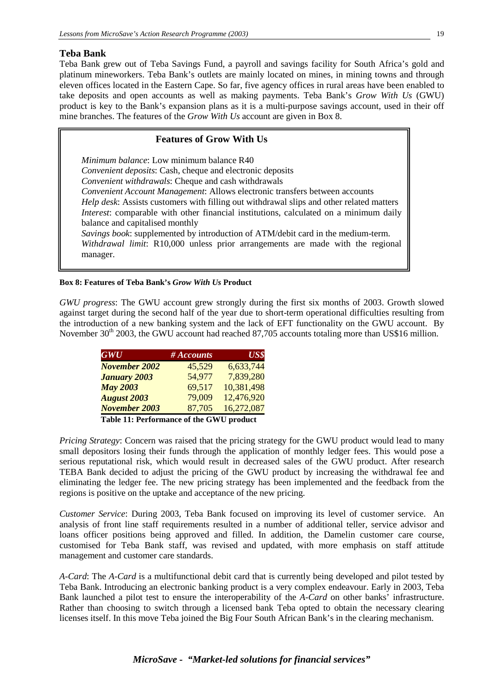#### **Teba Bank**

Teba Bank grew out of Teba Savings Fund, a payroll and savings facility for South Africa's gold and platinum mineworkers. Teba Bank's outlets are mainly located on mines, in mining towns and through eleven offices located in the Eastern Cape. So far, five agency offices in rural areas have been enabled to take deposits and open accounts as well as making payments. Teba Bank's *Grow With Us* (GWU) product is key to the Bank's expansion plans as it is a multi-purpose savings account, used in their off mine branches. The features of the *Grow With Us* account are given in Box 8.

#### **Features of Grow With Us**

*Minimum balance*: Low minimum balance R40 *Convenient deposits*: Cash, cheque and electronic deposits *Convenient withdrawals*: Cheque and cash withdrawals *Convenient Account Management*: Allows electronic transfers between accounts *Help desk*: Assists customers with filling out withdrawal slips and other related matters *Interest*: comparable with other financial institutions, calculated on a minimum daily balance and capitalised monthly *Savings book*: supplemented by introduction of ATM/debit card in the medium-term. *Withdrawal limit*: R10,000 unless prior arrangements are made with the regional manager.

#### **Box 8: Features of Teba Bank's** *Grow With Us* **Product**

*GWU progress*: The GWU account grew strongly during the first six months of 2003. Growth slowed against target during the second half of the year due to short-term operational difficulties resulting from the introduction of a new banking system and the lack of EFT functionality on the GWU account. By November  $30<sup>th</sup>$  2003, the GWU account had reached 87,705 accounts totaling more than US\$16 million.

| # Accounts | US\$       |
|------------|------------|
| 45,529     | 6,633,744  |
| 54,977     | 7,839,280  |
| 69,517     | 10,381,498 |
| 79,009     | 12,476,920 |
| 87,705     | 16,272,087 |
|            |            |

 **Table 11: Performance of the GWU product** 

*Pricing Strategy*: Concern was raised that the pricing strategy for the GWU product would lead to many small depositors losing their funds through the application of monthly ledger fees. This would pose a serious reputational risk, which would result in decreased sales of the GWU product. After research TEBA Bank decided to adjust the pricing of the GWU product by increasing the withdrawal fee and eliminating the ledger fee. The new pricing strategy has been implemented and the feedback from the regions is positive on the uptake and acceptance of the new pricing.

*Customer Service*: During 2003, Teba Bank focused on improving its level of customer service. An analysis of front line staff requirements resulted in a number of additional teller, service advisor and loans officer positions being approved and filled. In addition, the Damelin customer care course, customised for Teba Bank staff, was revised and updated, with more emphasis on staff attitude management and customer care standards.

*A-Card*: The *A-Card* is a multifunctional debit card that is currently being developed and pilot tested by Teba Bank. Introducing an electronic banking product is a very complex endeavour. Early in 2003, Teba Bank launched a pilot test to ensure the interoperability of the *A-Card* on other banks' infrastructure. Rather than choosing to switch through a licensed bank Teba opted to obtain the necessary clearing licenses itself. In this move Teba joined the Big Four South African Bank's in the clearing mechanism.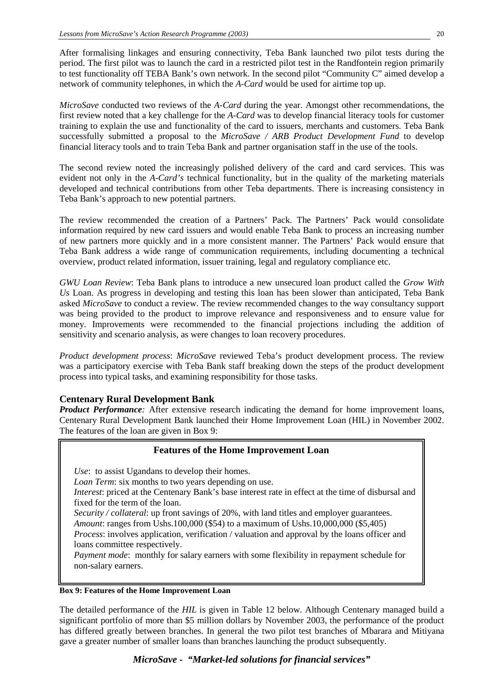After formalising linkages and ensuring connectivity, Teba Bank launched two pilot tests during the period. The first pilot was to launch the card in a restricted pilot test in the Randfontein region primarily to test functionality off TEBA Bank's own network. In the second pilot "Community C" aimed develop a network of community telephones, in which the *A-Card* would be used for airtime top up.

*MicroSave* conducted two reviews of the *A-Card* during the year. Amongst other recommendations, the first review noted that a key challenge for the *A-Card* was to develop financial literacy tools for customer training to explain the use and functionality of the card to issuers, merchants and customers. Teba Bank successfully submitted a proposal to the *MicroSave / ARB Product Development Fund* to develop financial literacy tools and to train Teba Bank and partner organisation staff in the use of the tools.

The second review noted the increasingly polished delivery of the card and card services. This was evident not only in the *A-Card's* technical functionality, but in the quality of the marketing materials developed and technical contributions from other Teba departments. There is increasing consistency in Teba Bank's approach to new potential partners.

The review recommended the creation of a Partners' Pack. The Partners' Pack would consolidate information required by new card issuers and would enable Teba Bank to process an increasing number of new partners more quickly and in a more consistent manner. The Partners' Pack would ensure that Teba Bank address a wide range of communication requirements, including documenting a technical overview, product related information, issuer training, legal and regulatory compliance etc.

*GWU Loan Review*: Teba Bank plans to introduce a new unsecured loan product called the *Grow With Us* Loan. As progress in developing and testing this loan has been slower than anticipated, Teba Bank asked *MicroSave* to conduct a review. The review recommended changes to the way consultancy support was being provided to the product to improve relevance and responsiveness and to ensure value for money. Improvements were recommended to the financial projections including the addition of sensitivity and scenario analysis, as were changes to loan recovery procedures.

*Product development process*: *MicroSave* reviewed Teba's product development process. The review was a participatory exercise with Teba Bank staff breaking down the steps of the product development process into typical tasks, and examining responsibility for those tasks.

#### **Centenary Rural Development Bank**

*Product Performance:* After extensive research indicating the demand for home improvement loans, Centenary Rural Development Bank launched their Home Improvement Loan (HIL) in November 2002. The features of the loan are given in Box 9:

#### **Features of the Home Improvement Loan**

*Use*: to assist Ugandans to develop their homes.

*Loan Term*: six months to two years depending on use.

*Interest*: priced at the Centenary Bank's base interest rate in effect at the time of disbursal and fixed for the term of the loan.

*Security / collateral:* up front savings of 20%, with land titles and employer guarantees.

*Amount*: ranges from Ushs.100,000 (\$54) to a maximum of Ushs.10,000,000 (\$5,405)

*Process*: involves application, verification / valuation and approval by the loans officer and loans committee respectively.

*Payment mode*: monthly for salary earners with some flexibility in repayment schedule for non-salary earners.

#### **Box 9: Features of the Home Improvement Loan**

The detailed performance of the *HIL* is given in Table 12 below. Although Centenary managed build a significant portfolio of more than \$5 million dollars by November 2003, the performance of the product has differed greatly between branches. In general the two pilot test branches of Mbarara and Mitiyana gave a greater number of smaller loans than branches launching the product subsequently.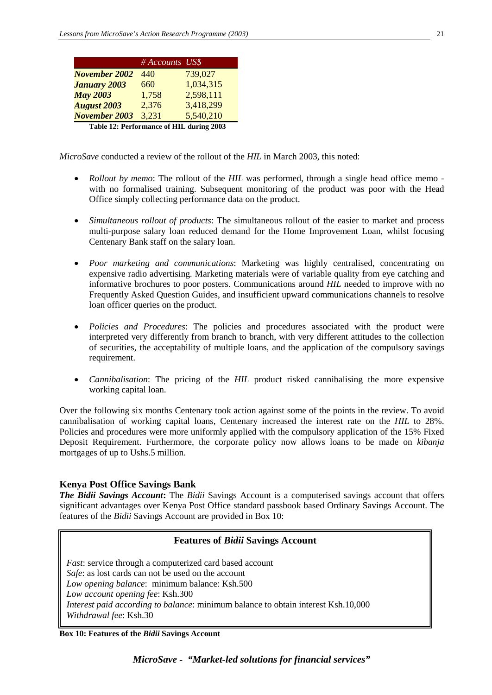|                             | # Accounts US\$ |                                                                                                                                                                                                                                                                                                                     |
|-----------------------------|-----------------|---------------------------------------------------------------------------------------------------------------------------------------------------------------------------------------------------------------------------------------------------------------------------------------------------------------------|
| <b>November 2002</b>        | 440             | 739,027                                                                                                                                                                                                                                                                                                             |
| <b>January 2003</b>         | 660             | 1,034,315                                                                                                                                                                                                                                                                                                           |
| <b>May 2003</b>             | 1,758           | 2,598,111                                                                                                                                                                                                                                                                                                           |
| <b>August 2003</b>          | 2,376           | 3,418,299                                                                                                                                                                                                                                                                                                           |
| <b>November 2003</b>        | 3,231           | 5,540,210                                                                                                                                                                                                                                                                                                           |
| Takle 12. Devformance of HH |                 | $\frac{1}{2}$ $\frac{1}{2}$ $\frac{1}{2}$ $\frac{1}{2}$ $\frac{1}{2}$ $\frac{1}{2}$ $\frac{1}{2}$ $\frac{1}{2}$ $\frac{1}{2}$ $\frac{1}{2}$ $\frac{1}{2}$ $\frac{1}{2}$ $\frac{1}{2}$ $\frac{1}{2}$ $\frac{1}{2}$ $\frac{1}{2}$ $\frac{1}{2}$ $\frac{1}{2}$ $\frac{1}{2}$ $\frac{1}{2}$ $\frac{1}{2}$ $\frac{1}{2}$ |

**Table 12: Performance of HIL during 2003**

*MicroSave* conducted a review of the rollout of the *HIL* in March 2003, this noted:

- *Rollout by memo*: The rollout of the *HIL* was performed, through a single head office memo with no formalised training. Subsequent monitoring of the product was poor with the Head Office simply collecting performance data on the product.
- *Simultaneous rollout of products*: The simultaneous rollout of the easier to market and process multi-purpose salary loan reduced demand for the Home Improvement Loan, whilst focusing Centenary Bank staff on the salary loan.
- *Poor marketing and communications*: Marketing was highly centralised, concentrating on expensive radio advertising. Marketing materials were of variable quality from eye catching and informative brochures to poor posters. Communications around *HIL* needed to improve with no Frequently Asked Question Guides, and insufficient upward communications channels to resolve loan officer queries on the product.
- *Policies and Procedures*: The policies and procedures associated with the product were interpreted very differently from branch to branch, with very different attitudes to the collection of securities, the acceptability of multiple loans, and the application of the compulsory savings requirement.
- *Cannibalisation*: The pricing of the *HIL* product risked cannibalising the more expensive working capital loan.

Over the following six months Centenary took action against some of the points in the review. To avoid cannibalisation of working capital loans, Centenary increased the interest rate on the *HIL* to 28%. Policies and procedures were more uniformly applied with the compulsory application of the 15% Fixed Deposit Requirement. Furthermore, the corporate policy now allows loans to be made on *kibanja*  mortgages of up to Ushs.5 million.

#### **Kenya Post Office Savings Bank**

*The Bidii Savings Account***:** The *Bidii* Savings Account is a computerised savings account that offers significant advantages over Kenya Post Office standard passbook based Ordinary Savings Account. The features of the *Bidii* Savings Account are provided in Box 10:

#### **Features of** *Bidii* **Savings Account**

*Fast*: service through a computerized card based account *Safe*: as lost cards can not be used on the account *Low opening balance*: minimum balance: Ksh.500 *Low account opening fee*: Ksh.300 *Interest paid according to balance*: minimum balance to obtain interest Ksh.10,000 *Withdrawal fee*: Ksh.30

**Box 10: Features of the** *Bidii* **Savings Account**

*MicroSave - "Market-led solutions for financial services"*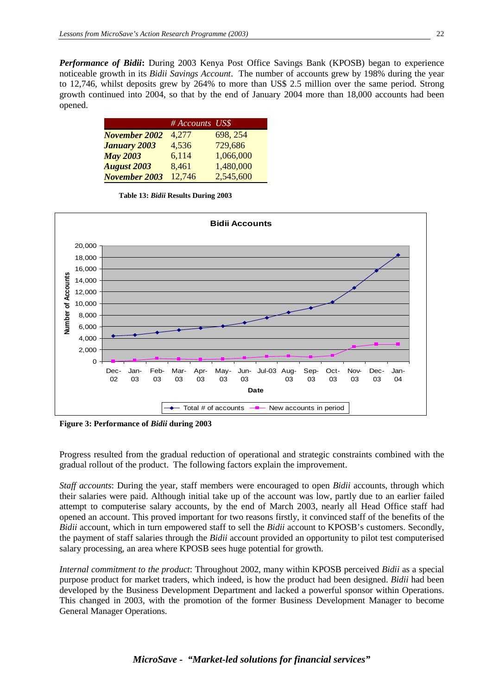*Performance of Bidii***:** During 2003 Kenya Post Office Savings Bank (KPOSB) began to experience noticeable growth in its *Bidii Savings Account*. The number of accounts grew by 198% during the year to 12,746, whilst deposits grew by 264% to more than US\$ 2.5 million over the same period. Strong growth continued into 2004, so that by the end of January 2004 more than 18,000 accounts had been opened.

|                      | # Accounts US\$ |           |
|----------------------|-----------------|-----------|
| <b>November 2002</b> | 4,277           | 698, 254  |
| <b>January 2003</b>  | 4,536           | 729,686   |
| <b>May 2003</b>      | 6,114           | 1,066,000 |
| <b>August 2003</b>   | 8,461           | 1,480,000 |
| <b>November 2003</b> | 12,746          | 2,545,600 |

**Table 13:** *Bidii* **Results During 2003**



**Figure 3: Performance of** *Bidii* **during 2003**

Progress resulted from the gradual reduction of operational and strategic constraints combined with the gradual rollout of the product. The following factors explain the improvement.

*Staff accounts*: During the year, staff members were encouraged to open *Bidii* accounts, through which their salaries were paid. Although initial take up of the account was low, partly due to an earlier failed attempt to computerise salary accounts, by the end of March 2003, nearly all Head Office staff had opened an account. This proved important for two reasons firstly, it convinced staff of the benefits of the *Bidii* account, which in turn empowered staff to sell the *Bidii* account to KPOSB's customers. Secondly, the payment of staff salaries through the *Bidii* account provided an opportunity to pilot test computerised salary processing, an area where KPOSB sees huge potential for growth.

*Internal commitment to the product*: Throughout 2002, many within KPOSB perceived *Bidii* as a special purpose product for market traders, which indeed, is how the product had been designed. *Bidii* had been developed by the Business Development Department and lacked a powerful sponsor within Operations. This changed in 2003, with the promotion of the former Business Development Manager to become General Manager Operations.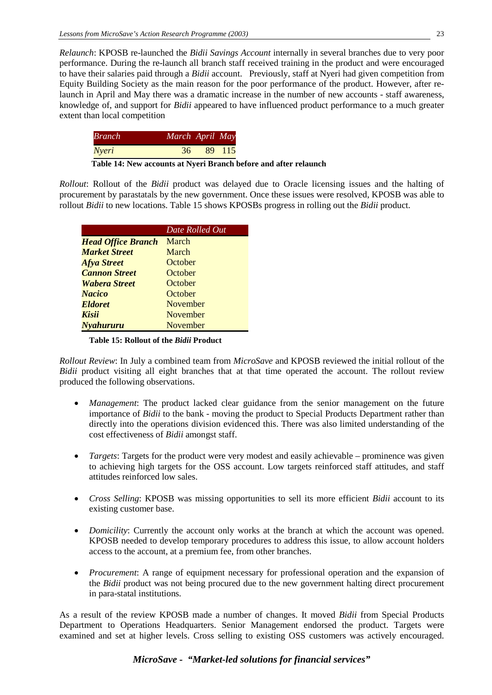*Relaunch*: KPOSB re-launched the *Bidii Savings Account* internally in several branches due to very poor performance. During the re-launch all branch staff received training in the product and were encouraged to have their salaries paid through a *Bidii* account. Previously, staff at Nyeri had given competition from Equity Building Society as the main reason for the poor performance of the product. However, after relaunch in April and May there was a dramatic increase in the number of new accounts - staff awareness, knowledge of, and support for *Bidii* appeared to have influenced product performance to a much greater extent than local competition

| <i>Branch</i> | March April May |        |
|---------------|-----------------|--------|
| Nyeri         | 36              | 89 115 |

**Table 14: New accounts at Nyeri Branch before and after relaunch**

*Rollout*: Rollout of the *Bidii* product was delayed due to Oracle licensing issues and the halting of procurement by parastatals by the new government. Once these issues were resolved, KPOSB was able to rollout *Bidii* to new locations. Table 15 shows KPOSBs progress in rolling out the *Bidii* product.

|                           | Date Rolled Out |
|---------------------------|-----------------|
| <b>Head Office Branch</b> | March           |
| <b>Market Street</b>      | March           |
| <b>Afya Street</b>        | October         |
| <b>Cannon Street</b>      | October         |
| <b>Wabera Street</b>      | October         |
| <b>Nacico</b>             | October         |
| <b>Eldoret</b>            | November        |
| Kisii                     | November        |
| <b>Nyahururu</b>          | November        |

**Table 15: Rollout of the** *Bidii* **Product**

*Rollout Review*: In July a combined team from *MicroSave* and KPOSB reviewed the initial rollout of the *Bidii* product visiting all eight branches that at that time operated the account. The rollout review produced the following observations.

- *Management*: The product lacked clear guidance from the senior management on the future importance of *Bidii* to the bank - moving the product to Special Products Department rather than directly into the operations division evidenced this. There was also limited understanding of the cost effectiveness of *Bidii* amongst staff.
- *Targets*: Targets for the product were very modest and easily achievable prominence was given to achieving high targets for the OSS account. Low targets reinforced staff attitudes, and staff attitudes reinforced low sales.
- *Cross Selling*: KPOSB was missing opportunities to sell its more efficient *Bidii* account to its existing customer base.
- *Domicility*: Currently the account only works at the branch at which the account was opened. KPOSB needed to develop temporary procedures to address this issue, to allow account holders access to the account, at a premium fee, from other branches.
- *Procurement*: A range of equipment necessary for professional operation and the expansion of the *Bidii* product was not being procured due to the new government halting direct procurement in para-statal institutions.

As a result of the review KPOSB made a number of changes. It moved *Bidii* from Special Products Department to Operations Headquarters. Senior Management endorsed the product. Targets were examined and set at higher levels. Cross selling to existing OSS customers was actively encouraged.

## *MicroSave - "Market-led solutions for financial services"*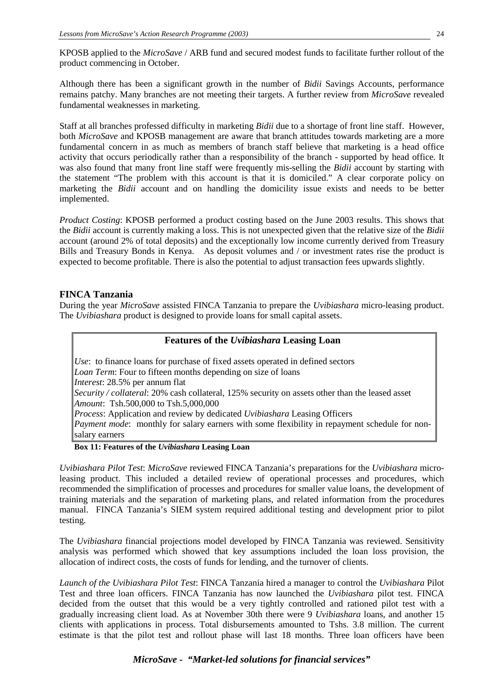KPOSB applied to the *MicroSave* / ARB fund and secured modest funds to facilitate further rollout of the product commencing in October.

Although there has been a significant growth in the number of *Bidii* Savings Accounts, performance remains patchy. Many branches are not meeting their targets. A further review from *MicroSave* revealed fundamental weaknesses in marketing.

Staff at all branches professed difficulty in marketing *Bidii* due to a shortage of front line staff. However, both *MicroSave* and KPOSB management are aware that branch attitudes towards marketing are a more fundamental concern in as much as members of branch staff believe that marketing is a head office activity that occurs periodically rather than a responsibility of the branch - supported by head office. It was also found that many front line staff were frequently mis-selling the *Bidii* account by starting with the statement "The problem with this account is that it is domiciled." A clear corporate policy on marketing the *Bidii* account and on handling the domicility issue exists and needs to be better implemented.

*Product Costing*: KPOSB performed a product costing based on the June 2003 results. This shows that the *Bidii* account is currently making a loss. This is not unexpected given that the relative size of the *Bidii*  account (around 2% of total deposits) and the exceptionally low income currently derived from Treasury Bills and Treasury Bonds in Kenya. As deposit volumes and / or investment rates rise the product is expected to become profitable. There is also the potential to adjust transaction fees upwards slightly.

#### **FINCA Tanzania**

During the year *MicroSave* assisted FINCA Tanzania to prepare the *Uvibiashara* micro-leasing product. The *Uvibiashara* product is designed to provide loans for small capital assets.

#### **Features of the** *Uvibiashara* **Leasing Loan**

*Use*: to finance loans for purchase of fixed assets operated in defined sectors *Loan Term*: Four to fifteen months depending on size of loans *Interest*: 28.5% per annum flat *Security / collateral*: 20% cash collateral, 125% security on assets other than the leased asset *Amount*: Tsh.500,000 to Tsh.5,000,000 *Process*: Application and review by dedicated *Uvibiashara* Leasing Officers *Payment mode*: monthly for salary earners with some flexibility in repayment schedule for nonsalary earners

#### **Box 11: Features of the** *Uvibiashara* **Leasing Loan**

*Uvibiashara Pilot Test*: *MicroSave* reviewed FINCA Tanzania's preparations for the *Uvibiashara* microleasing product. This included a detailed review of operational processes and procedures, which recommended the simplification of processes and procedures for smaller value loans, the development of training materials and the separation of marketing plans, and related information from the procedures manual. FINCA Tanzania's SIEM system required additional testing and development prior to pilot testing.

The *Uvibiashara* financial projections model developed by FINCA Tanzania was reviewed. Sensitivity analysis was performed which showed that key assumptions included the loan loss provision, the allocation of indirect costs, the costs of funds for lending, and the turnover of clients.

*Launch of the Uvibiashara Pilot Test*: FINCA Tanzania hired a manager to control the *Uvibiashara* Pilot Test and three loan officers. FINCA Tanzania has now launched the *Uvibiashara* pilot test. FINCA decided from the outset that this would be a very tightly controlled and rationed pilot test with a gradually increasing client load. As at November 30th there were 9 *Uvibiashara* loans, and another 15 clients with applications in process. Total disbursements amounted to Tshs. 3.8 million. The current estimate is that the pilot test and rollout phase will last 18 months. Three loan officers have been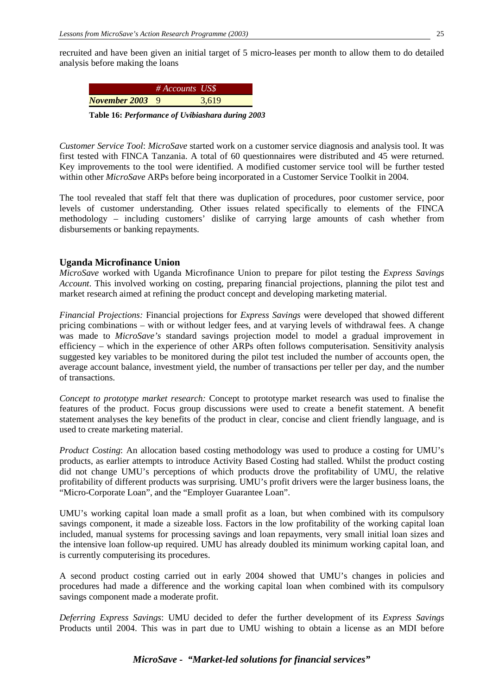recruited and have been given an initial target of 5 micro-leases per month to allow them to do detailed analysis before making the loans

|                        | $#$ Accounts US\$ |       |
|------------------------|-------------------|-------|
| <b>November 2003</b> 9 |                   | 3.619 |
|                        |                   |       |

**Table 16:** *Performance of Uvibiashara during 2003*

*Customer Service Tool*: *MicroSave* started work on a customer service diagnosis and analysis tool. It was first tested with FINCA Tanzania. A total of 60 questionnaires were distributed and 45 were returned. Key improvements to the tool were identified. A modified customer service tool will be further tested within other *MicroSave* ARPs before being incorporated in a Customer Service Toolkit in 2004.

The tool revealed that staff felt that there was duplication of procedures, poor customer service, poor levels of customer understanding. Other issues related specifically to elements of the FINCA methodology – including customers' dislike of carrying large amounts of cash whether from disbursements or banking repayments.

#### **Uganda Microfinance Union**

*MicroSave* worked with Uganda Microfinance Union to prepare for pilot testing the *Express Savings Account*. This involved working on costing, preparing financial projections, planning the pilot test and market research aimed at refining the product concept and developing marketing material.

*Financial Projections:* Financial projections for *Express Savings* were developed that showed different pricing combinations – with or without ledger fees, and at varying levels of withdrawal fees. A change was made to *MicroSave's* standard savings projection model to model a gradual improvement in efficiency – which in the experience of other ARPs often follows computerisation. Sensitivity analysis suggested key variables to be monitored during the pilot test included the number of accounts open, the average account balance, investment yield, the number of transactions per teller per day, and the number of transactions.

*Concept to prototype market research:* Concept to prototype market research was used to finalise the features of the product. Focus group discussions were used to create a benefit statement. A benefit statement analyses the key benefits of the product in clear, concise and client friendly language, and is used to create marketing material.

*Product Costing*: An allocation based costing methodology was used to produce a costing for UMU's products, as earlier attempts to introduce Activity Based Costing had stalled. Whilst the product costing did not change UMU's perceptions of which products drove the profitability of UMU, the relative profitability of different products was surprising. UMU's profit drivers were the larger business loans, the "Micro-Corporate Loan", and the "Employer Guarantee Loan".

UMU's working capital loan made a small profit as a loan, but when combined with its compulsory savings component, it made a sizeable loss. Factors in the low profitability of the working capital loan included, manual systems for processing savings and loan repayments, very small initial loan sizes and the intensive loan follow-up required. UMU has already doubled its minimum working capital loan, and is currently computerising its procedures.

A second product costing carried out in early 2004 showed that UMU's changes in policies and procedures had made a difference and the working capital loan when combined with its compulsory savings component made a moderate profit.

*Deferring Express Savings*: UMU decided to defer the further development of its *Express Savings* Products until 2004. This was in part due to UMU wishing to obtain a license as an MDI before

#### *MicroSave - "Market-led solutions for financial services"*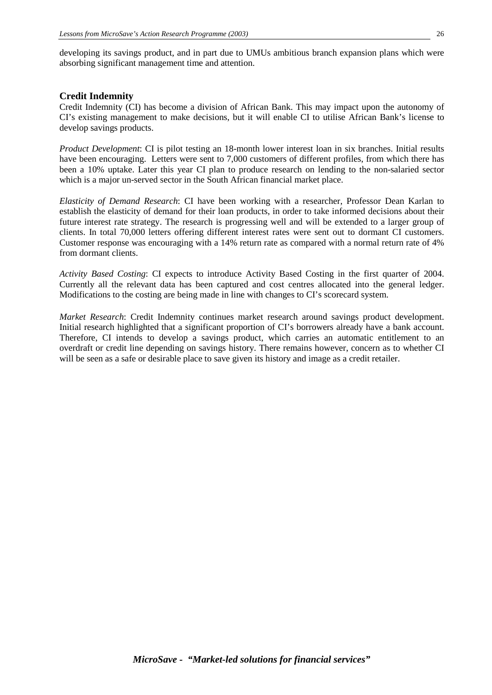developing its savings product, and in part due to UMUs ambitious branch expansion plans which were absorbing significant management time and attention.

#### **Credit Indemnity**

Credit Indemnity (CI) has become a division of African Bank. This may impact upon the autonomy of CI's existing management to make decisions, but it will enable CI to utilise African Bank's license to develop savings products.

*Product Development*: CI is pilot testing an 18-month lower interest loan in six branches. Initial results have been encouraging. Letters were sent to 7,000 customers of different profiles, from which there has been a 10% uptake. Later this year CI plan to produce research on lending to the non-salaried sector which is a major un-served sector in the South African financial market place.

*Elasticity of Demand Research*: CI have been working with a researcher, Professor Dean Karlan to establish the elasticity of demand for their loan products, in order to take informed decisions about their future interest rate strategy. The research is progressing well and will be extended to a larger group of clients. In total 70,000 letters offering different interest rates were sent out to dormant CI customers. Customer response was encouraging with a 14% return rate as compared with a normal return rate of 4% from dormant clients.

*Activity Based Costing*: CI expects to introduce Activity Based Costing in the first quarter of 2004. Currently all the relevant data has been captured and cost centres allocated into the general ledger. Modifications to the costing are being made in line with changes to CI's scorecard system.

*Market Research*: Credit Indemnity continues market research around savings product development. Initial research highlighted that a significant proportion of CI's borrowers already have a bank account. Therefore, CI intends to develop a savings product, which carries an automatic entitlement to an overdraft or credit line depending on savings history. There remains however, concern as to whether CI will be seen as a safe or desirable place to save given its history and image as a credit retailer.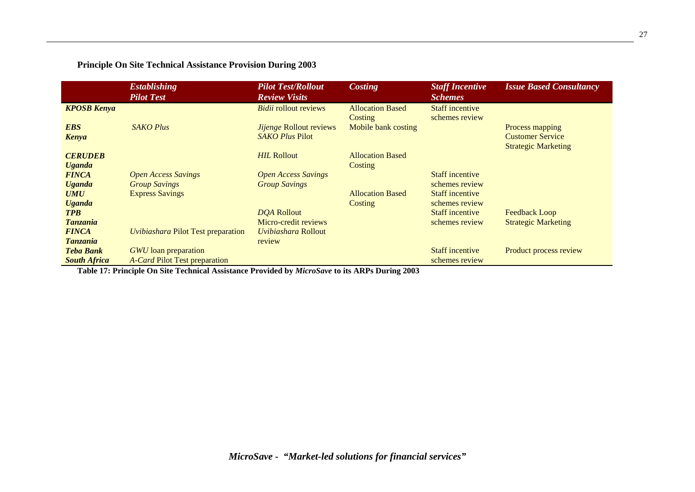## **Principle On Site Technical Assistance Provision During 2003**

|                                         | <b>Establishing</b><br><b>Pilot Test</b>                     | <b>Pilot Test/Rollout</b><br><b>Review Visits</b>  | <b>Costing</b>                     | <b>Staff Incentive</b><br><b>Schemes</b> | <b>Issue Based Consultancy</b>                                           |
|-----------------------------------------|--------------------------------------------------------------|----------------------------------------------------|------------------------------------|------------------------------------------|--------------------------------------------------------------------------|
| <b>KPOSB Kenya</b>                      |                                                              | <b>Bidii</b> rollout reviews                       | <b>Allocation Based</b><br>Costing | <b>Staff incentive</b><br>schemes review |                                                                          |
| <b>EBS</b><br>Kenya                     | <b>SAKO Plus</b>                                             | Jijenge Rollout reviews<br><b>SAKO Plus Pilot</b>  | Mobile bank costing                |                                          | Process mapping<br><b>Customer Service</b><br><b>Strategic Marketing</b> |
| <b>CERUDEB</b><br><b>Uganda</b>         |                                                              | <b>HIL Rollout</b>                                 | <b>Allocation Based</b><br>Costing |                                          |                                                                          |
| <b>FINCA</b><br><b>Uganda</b>           | <b>Open Access Savings</b><br><b>Group Savings</b>           | <b>Open Access Savings</b><br><b>Group Savings</b> |                                    | <b>Staff incentive</b><br>schemes review |                                                                          |
| <b>UMU</b><br><b>Uganda</b>             | <b>Express Savings</b>                                       |                                                    | <b>Allocation Based</b><br>Costing | <b>Staff incentive</b><br>schemes review |                                                                          |
| <b>TPB</b><br><b>Tanzania</b>           |                                                              | DQA Rollout<br>Micro-credit reviews                |                                    | <b>Staff incentive</b><br>schemes review | Feedback Loop<br><b>Strategic Marketing</b>                              |
| <b>FINCA</b><br><b>Tanzania</b>         | <b>Uvibiashara Pilot Test preparation</b>                    | <i>Uvibiashara</i> Rollout<br>review               |                                    |                                          |                                                                          |
| <b>Teba Bank</b><br><b>South Africa</b> | <b>GWU</b> loan preparation<br>A-Card Pilot Test preparation |                                                    |                                    | <b>Staff incentive</b><br>schemes review | Product process review                                                   |

**Table 17: Principle On Site Technical Assistance Provided by** *MicroSave* **to its ARPs During 2003**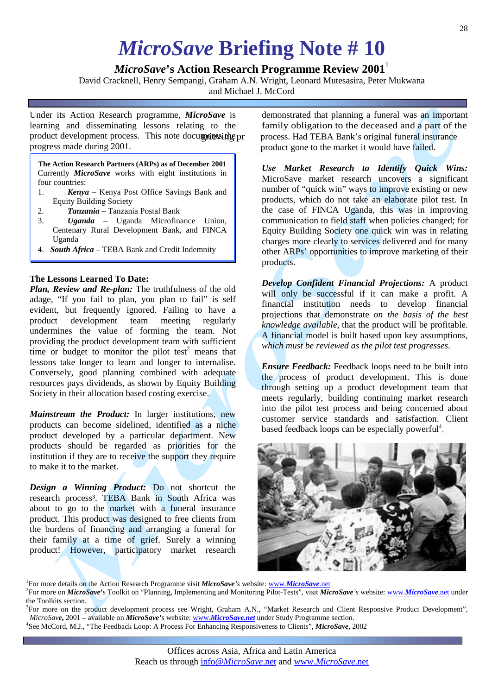## *MicroSave* **Briefing Note # 10**

## *MicroSave*'s Action Research Programme Review 2001<sup>1</sup>

David Cracknell, Henry Sempangi, Graham A.N. Wright, Leonard Mutesasira, Peter Mukwana

and Michael J. McCord

Under its Action Research programme, *MicroSave* is learning and disseminating lessons relating to the product development process. This note documents the pr progress made during 2001.

**The Action Research Partners (ARPs) as of December 2001** Currently *MicroSave* works with eight institutions in four countries:

- 1. *Kenya*  Kenya Post Office Savings Bank and Equity Building Society
- 2. *Tanzania* Tanzania Postal Bank
- 3. *Uganda* Uganda Microfinance Union, Centenary Rural Development Bank, and FINCA Uganda
- 4. *South Africa*  TEBA Bank and Credit Indemnity

#### **The Lessons Learned To Date:**

*Plan, Review and Re-plan:* The truthfulness of the old adage, "If you fail to plan, you plan to fail" is self evident, but frequently ignored. Failing to have a product development team meeting regularly product development team meeting regularly undermines the value of forming the team. Not providing the product development team with sufficient time or budget to monitor the pilot test<sup>2</sup> means that lessons take longer to learn and longer to internalise. Conversely, good planning combined with adequate resources pays dividends, as shown by Equity Building Society in their allocation based costing exercise.

*Mainstream the Product:* In larger institutions, new products can become sidelined, identified as a niche product developed by a particular department. New products should be regarded as priorities for the institution if they are to receive the support they require to make it to the market.

*Design a Winning Product:* Do not shortcut the research process<sup>3</sup>. TEBA Bank in South Africa was about to go to the market with a funeral insurance product. This product was designed to free clients from the burdens of financing and arranging a funeral for their family at a time of grief. Surely a winning product! However, participatory market research

demonstrated that planning a funeral was an important family obligation to the deceased and a part of the process. Had TEBA Bank's original funeral insurance product gone to the market it would have failed.

*Use Market Research to Identify Quick Wins:* MicroSave market research uncovers a significant number of "quick win" ways to improve existing or new products, which do not take an elaborate pilot test. In the case of FINCA Uganda, this was in improving communication to field staff when policies changed; for Equity Building Society one quick win was in relating charges more clearly to services delivered and for many other ARPs' opportunities to improve marketing of their products.

*Develop Confident Financial Projections:* A product will only be successful if it can make a profit. A financial institution needs to develop financial projections that demonstrate *on the basis of the best knowledge available*, that the product will be profitable. A financial model is built based upon key assumptions, *which must be reviewed as the pilot test progresses*.

*Ensure Feedback:* Feedback loops need to be built into the process of product development. This is done through setting up a product development team that meets regularly, building continuing market research into the pilot test process and being concerned about customer service standards and satisfaction. Client based feedback loops can be especially powerful<sup>4</sup>.



<sup>1</sup>For more details on the Action Research Programme visit *[MicroSave](http://www.microsave.net/)'s* website: www.*MicroSave.net*<sup>2</sup><br><sup>2</sup>For more on *MicroSave*<sup>2</sup>s Toolkit on "Planning Implementing and Monitoring Pilot Tests", visit *MicroSave* 

For more on *MicroSave***'**s Toolkit on "Planning, Implementing and Monitoring Pilot-Tests", visit *MicroSave's* website: www.*[MicroSave](http://www.microsave.net/)*.net under the Toolkits section.

<sup>3</sup>For more on the product development process see Wright, Graham A.N., "Market Research and Client Responsive Product Development", *MicroSave***,** 2001 – available on *MicroSave'<sup>s</sup>* website: www.*[MicroSave.net](http://www.microsave.net/)* under Study Programme section. <sup>4</sup> See McCord, M.J., "The Feedback Loop: A Process For Enhancing Responsiveness to Clients", *MicroSave***,** 2002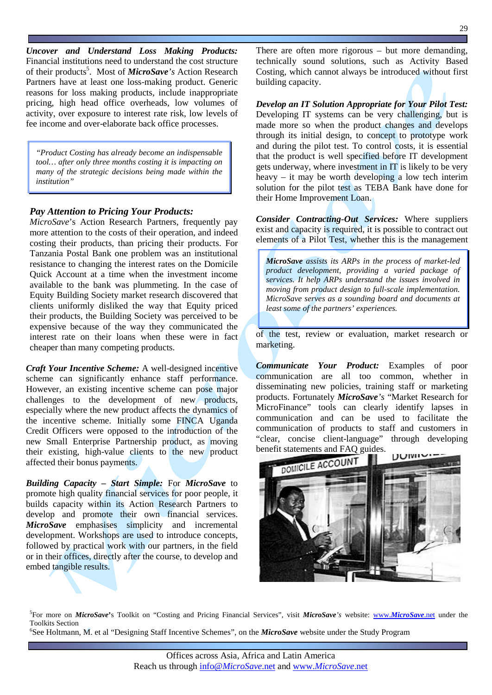*Uncover and Understand Loss Making Products:* Financial institutions need to understand the cost structure of their products<sup>5</sup>. Most of *MicroSave*'s Action Research Partners have at least one loss-making product. Generic reasons for loss making products, include inappropriate pricing, high head office overheads, low volumes of activity, over exposure to interest rate risk, low levels of fee income and over-elaborate back office processes.

*"Product Costing has already become an indispensable tool… after only three months costing it is impacting on many of the strategic decisions being made within the institution"*

#### *Pay Attention to Pricing Your Products:*

*MicroSave*'s Action Research Partners, frequently pay more attention to the costs of their operation, and indeed costing their products, than pricing their products. For Tanzania Postal Bank one problem was an institutional resistance to changing the interest rates on the Domicile Quick Account at a time when the investment income available to the bank was plummeting. In the case of Equity Building Society market research discovered that clients uniformly disliked the way that Equity priced their products, the Building Society was perceived to be expensive because of the way they communicated the interest rate on their loans when these were in fact cheaper than many competing products.

*Craft Your Incentive Scheme:* A well-designed incentive scheme can significantly enhance staff performance. However, an existing incentive scheme can pose major challenges to the development of new products, especially where the new product affects the dynamics of the incentive scheme. Initially some FINCA Uganda Credit Officers were opposed to the introduction of the new Small Enterprise Partnership product, as moving their existing, high-value clients to the new product affected their bonus payments.

*Building Capacity – Start Simple:* For *MicroSave* to promote high quality financial services for poor people, it builds capacity within its Action Research Partners to develop and promote their own financial services. *MicroSave* emphasises simplicity and incremental development. Workshops are used to introduce concepts, followed by practical work with our partners, in the field or in their offices, directly after the course, to develop and embed tangible results.

There are often more rigorous – but more demanding, technically sound solutions, such as Activity Based Costing, which cannot always be introduced without first building capacity.

*Develop an IT Solution Appropriate for Your Pilot Test:* Developing IT systems can be very challenging, but is made more so when the product changes and develops through its initial design, to concept to prototype work and during the pilot test. To control costs, it is essential that the product is well specified before IT development gets underway, where investment in IT is likely to be very heavy – it may be worth developing a low tech interim solution for the pilot test as TEBA Bank have done for their Home Improvement Loan.

*Consider Contracting-Out Services:* Where suppliers exist and capacity is required, it is possible to contract out elements of a Pilot Test, whether this is the management

*MicroSave assists its ARPs in the process of market-led product development, providing a varied package of services. It help ARPs understand the issues involved in moving from product design to full-scale implementation. MicroSave serves as a sounding board and documents at least some of the partners' experiences.*

of the test, review or evaluation, market research or marketing.

*Communicate Your Product:* Examples of poor communication are all too common, whether in disseminating new policies, training staff or marketing products. Fortunately *MicroSave's* "Market Research for MicroFinance" tools can clearly identify lapses in communication and can be used to facilitate the communication of products to staff and customers in "clear, concise client-language" through developing



5 For more on *MicroSave***'**s Toolkit on "Costing and Pricing Financial Services", visit *MicroSave's* website: www.*[MicroSave](http://www.microsave.net/)*.net under the Toolkits Section

6 See Holtmann, M. et al "Designing Staff Incentive Schemes", on the *MicroSave* website under the Study Program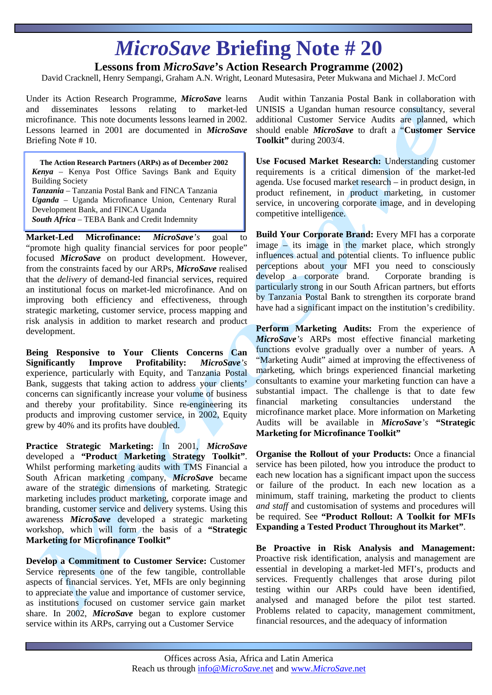## *MicroSave* **Briefing Note # 20**

## **Lessons from** *MicroSave***'s Action Research Programme (2002)**

David Cracknell, Henry Sempangi, Graham A.N. Wright, Leonard Mutesasira, Peter Mukwana and Michael J. McCord

Under its Action Research Programme, *MicroSave* learns and disseminates lessons relating to market-led microfinance. This note documents lessons learned in 2002. Lessons learned in 2001 are documented in *MicroSave*  Briefing Note # 10.

**The Action Research Partners (ARPs) as of December 2002** *Kenya* – Kenya Post Office Savings Bank and Equity Building Society *Tanzania* – Tanzania Postal Bank and FINCA Tanzania *Uganda* – Uganda Microfinance Union, Centenary Rural Development Bank, and FINCA Uganda *South Africa* – TEBA Bank and Credit Indemnity

**Market-Led Microfinance:** *MicroSave's* goal to "promote high quality financial services for poor people" focused *MicroSave* on product development. However, from the constraints faced by our ARPs, *MicroSave* realised that the *delivery* of demand-led financial services, required an institutional focus on market-led microfinance. And on improving both efficiency and effectiveness, through strategic marketing, customer service, process mapping and risk analysis in addition to market research and product development.

**Being Responsive to Your Clients Concerns Can Significantly Improve Profitability:** *MicroSave's*  experience, particularly with Equity, and Tanzania Postal Bank, suggests that taking action to address your clients' concerns can significantly increase your volume of business and thereby your profitability. Since re-engineering its products and improving customer service, in 2002, Equity grew by 40% and its profits have doubled.

**Practice Strategic Marketing:** In 2001, *MicroSave*  developed a **"Product Marketing Strategy Toolkit"**. Whilst performing marketing audits with TMS Financial a South African marketing company, *MicroSave* became aware of the strategic dimensions of marketing. Strategic marketing includes product marketing, corporate image and branding, customer service and delivery systems. Using this awareness *MicroSave* developed a strategic marketing workshop, which will form the basis of a **"Strategic Marketing for Microfinance Toolkit"**

**Develop a Commitment to Customer Service:** Customer Service represents one of the few tangible, controllable aspects of financial services. Yet, MFIs are only beginning to appreciate the value and importance of customer service, as institutions focused on customer service gain market share. In 2002, *MicroSave* began to explore customer service within its ARPs, carrying out a Customer Service

Audit within Tanzania Postal Bank in collaboration with UNISIS a Ugandan human resource consultancy, several additional Customer Service Audits are planned, which should enable *MicroSave* to draft a "**Customer Service Toolkit"** during 2003/4.

30

**Use Focused Market Research:** Understanding customer requirements is a critical dimension of the market-led agenda. Use focused market research – in product design, in product refinement, in product marketing, in customer service, in uncovering corporate image, and in developing competitive intelligence.

**Build Your Corporate Brand:** Every MFI has a corporate image – its image in the market place, which strongly influences actual and potential clients. To influence public perceptions about your MFI you need to consciously develop a corporate brand. Corporate branding is particularly strong in our South African partners, but efforts by Tanzania Postal Bank to strengthen its corporate brand have had a significant impact on the institution's credibility.

Perform Marketing Audits: From the experience of *MicroSave's* ARPs most effective financial marketing functions evolve gradually over a number of years. A "Marketing Audit" aimed at improving the effectiveness of marketing, which brings experienced financial marketing consultants to examine your marketing function can have a substantial impact. The challenge is that to date few financial marketing consultancies understand the microfinance market place. More information on Marketing Audits will be available in *MicroSave's* **"Strategic Marketing for Microfinance Toolkit"** 

**Organise the Rollout of your Products:** Once a financial service has been piloted, how you introduce the product to each new location has a significant impact upon the success or failure of the product. In each new location as a minimum, staff training, marketing the product to clients *and staff* and customisation of systems and procedures will be required. See **"Product Rollout: A Toolkit for MFIs Expanding a Tested Product Throughout its Market"**.

**Be Proactive in Risk Analysis and Management:**  Proactive risk identification, analysis and management are essential in developing a market-led MFI's, products and services. Frequently challenges that arose during pilot testing within our ARPs could have been identified, analysed and managed before the pilot test started. Problems related to capacity, management commitment, financial resources, and the adequacy of information